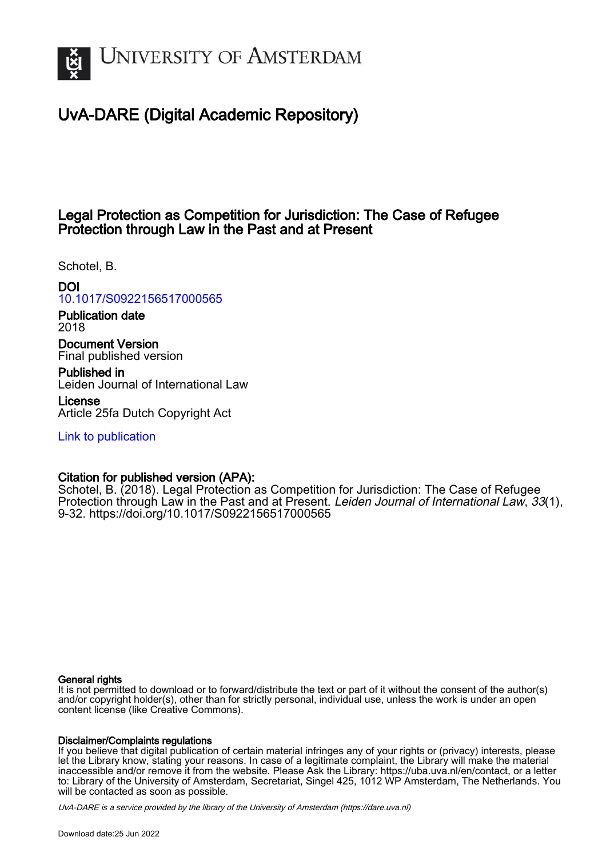

# UvA-DARE (Digital Academic Repository)

## Legal Protection as Competition for Jurisdiction: The Case of Refugee Protection through Law in the Past and at Present

Schotel, B.

## DOI

[10.1017/S0922156517000565](https://doi.org/10.1017/S0922156517000565)

Publication date 2018

Document Version Final published version

Published in Leiden Journal of International Law

License Article 25fa Dutch Copyright Act

[Link to publication](https://dare.uva.nl/personal/pure/en/publications/legal-protection-as-competition-for-jurisdiction-the-case-of-refugee-protection-through-law-in-the-past-and-at-present(204d88f4-b935-46b2-a656-c4d07fc7cc54).html)

## Citation for published version (APA):

Schotel, B. (2018). Legal Protection as Competition for Jurisdiction: The Case of Refugee Protection through Law in the Past and at Present. Leiden Journal of International Law, 33(1), 9-32. <https://doi.org/10.1017/S0922156517000565>

#### General rights

It is not permitted to download or to forward/distribute the text or part of it without the consent of the author(s) and/or copyright holder(s), other than for strictly personal, individual use, unless the work is under an open content license (like Creative Commons).

#### Disclaimer/Complaints regulations

If you believe that digital publication of certain material infringes any of your rights or (privacy) interests, please let the Library know, stating your reasons. In case of a legitimate complaint, the Library will make the material inaccessible and/or remove it from the website. Please Ask the Library: https://uba.uva.nl/en/contact, or a letter to: Library of the University of Amsterdam, Secretariat, Singel 425, 1012 WP Amsterdam, The Netherlands. You will be contacted as soon as possible.

UvA-DARE is a service provided by the library of the University of Amsterdam (http*s*://dare.uva.nl)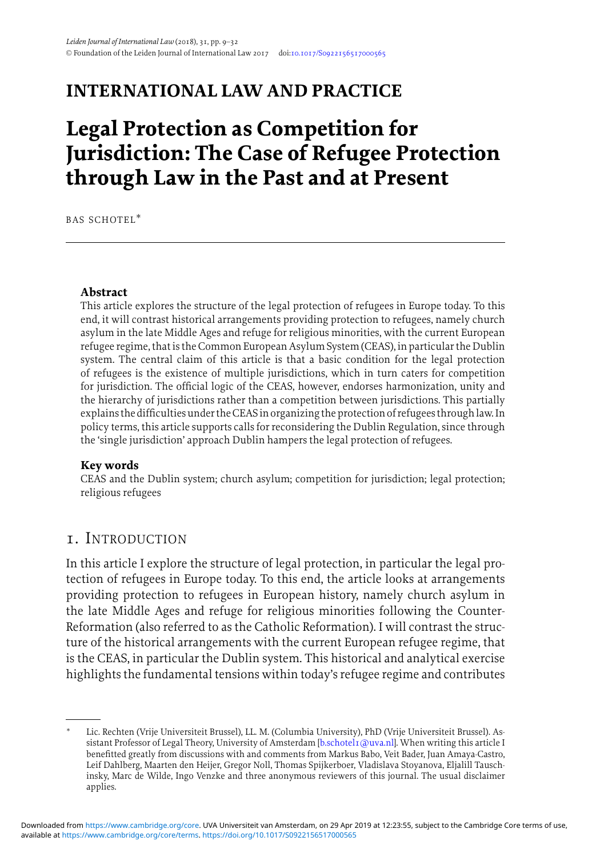## **INTERNATIONAL LAW AND PRACTICE**

# **Legal Protection as Competition for Jurisdiction: The Case of Refugee Protection through Law in the Past and at Present**

BAS SCHOTEL∗

#### **Abstract**

This article explores the structure of the legal protection of refugees in Europe today. To this end, it will contrast historical arrangements providing protection to refugees, namely church asylum in the late Middle Ages and refuge for religious minorities, with the current European refugee regime, that is the Common European Asylum System (CEAS), in particular the Dublin system. The central claim of this article is that a basic condition for the legal protection of refugees is the existence of multiple jurisdictions, which in turn caters for competition for jurisdiction. The official logic of the CEAS, however, endorses harmonization, unity and the hierarchy of jurisdictions rather than a competition between jurisdictions. This partially explains the difficulties under theCEASin organizing the protection of refugees throughlaw. In policy terms, this article supports calls for reconsidering the Dublin Regulation, since through the 'single jurisdiction' approach Dublin hampers the legal protection of refugees.

#### **Key words**

CEAS and the Dublin system; church asylum; competition for jurisdiction; legal protection; religious refugees

## 1. INTRODUCTION

In this article I explore the structure of legal protection, in particular the legal protection of refugees in Europe today. To this end, the article looks at arrangements providing protection to refugees in European history, namely church asylum in the late Middle Ages and refuge for religious minorities following the Counter-Reformation (also referred to as the Catholic Reformation). I will contrast the structure of the historical arrangements with the current European refugee regime, that is the CEAS, in particular the Dublin system. This historical and analytical exercise highlights the fundamental tensions within today's refugee regime and contributes

<sup>∗</sup> Lic. Rechten (Vrije Universiteit Brussel), LL. M. (Columbia University), PhD (Vrije Universiteit Brussel). As-sistant Professor of Legal Theory, University of Amsterdam [\[b.schotel1@uva.nl\]](mailto:b.schotel1@uva.nl). When writing this article I benefitted greatly from discussions with and comments from Markus Babo, Veit Bader, Juan Amaya-Castro, Leif Dahlberg, Maarten den Heijer, Gregor Noll, Thomas Spijkerboer, Vladislava Stoyanova, Eljalill Tauschinsky, Marc de Wilde, Ingo Venzke and three anonymous reviewers of this journal. The usual disclaimer applies.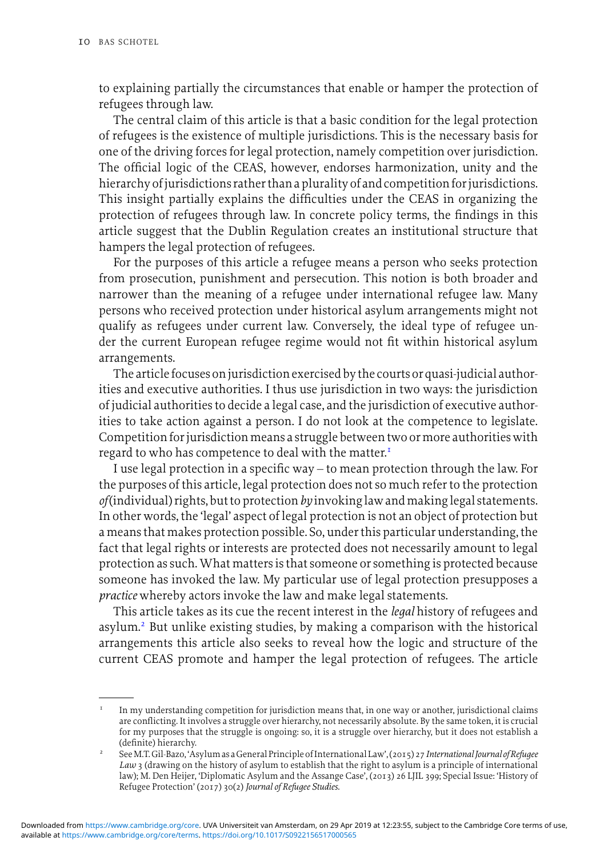to explaining partially the circumstances that enable or hamper the protection of refugees through law.

The central claim of this article is that a basic condition for the legal protection of refugees is the existence of multiple jurisdictions. This is the necessary basis for one of the driving forces for legal protection, namely competition over jurisdiction. The official logic of the CEAS, however, endorses harmonization, unity and the hierarchy ofjurisdictions rather than a plurality of and competition forjurisdictions. This insight partially explains the difficulties under the CEAS in organizing the protection of refugees through law. In concrete policy terms, the findings in this article suggest that the Dublin Regulation creates an institutional structure that hampers the legal protection of refugees.

For the purposes of this article a refugee means a person who seeks protection from prosecution, punishment and persecution. This notion is both broader and narrower than the meaning of a refugee under international refugee law. Many persons who received protection under historical asylum arrangements might not qualify as refugees under current law. Conversely, the ideal type of refugee under the current European refugee regime would not fit within historical asylum arrangements.

The article focuses on jurisdiction exercised by the courts or quasi-judicial authorities and executive authorities. I thus use jurisdiction in two ways: the jurisdiction of judicial authorities to decide a legal case, and the jurisdiction of executive authorities to take action against a person. I do not look at the competence to legislate. Competition for jurisdiction means a struggle between two or more authorities with regard to who has competence to deal with the matter.<sup>1</sup>

I use legal protection in a specific way – to mean protection through the law. For the purposes of this article, legal protection does not so much refer to the protection *of*(individual) rights, but to protection*by* invokinglaw andmakinglegal statements. In other words, the 'legal' aspect of legal protection is not an object of protection but a means that makes protection possible. So, under this particular understanding, the fact that legal rights or interests are protected does not necessarily amount to legal protection as such.What matters is that someone or something is protected because someone has invoked the law. My particular use of legal protection presupposes a *practice* whereby actors invoke the law and make legal statements.

This article takes as its cue the recent interest in the *legal* history of refugees and asylum.<sup>2</sup> But unlike existing studies, by making a comparison with the historical arrangements this article also seeks to reveal how the logic and structure of the current CEAS promote and hamper the legal protection of refugees. The article

 $1$  In my understanding competition for jurisdiction means that, in one way or another, jurisdictional claims are conflicting. It involves a struggle over hierarchy, not necessarily absolute. By the same token, it is crucial for my purposes that the struggle is ongoing: so, it is a struggle over hierarchy, but it does not establish a (definite) hierarchy.

<sup>2</sup> SeeM.T.Gil-Bazo, 'Asylum as aGeneral Principle of International Law', (2015) 27*International Journal of Refugee Law* 3 (drawing on the history of asylum to establish that the right to asylum is a principle of international law); M. Den Heijer, 'Diplomatic Asylum and the Assange Case', (2013) 26 LJIL 399; Special Issue: 'History of Refugee Protection' (2017) 30(2) *Journal of Refugee Studies*.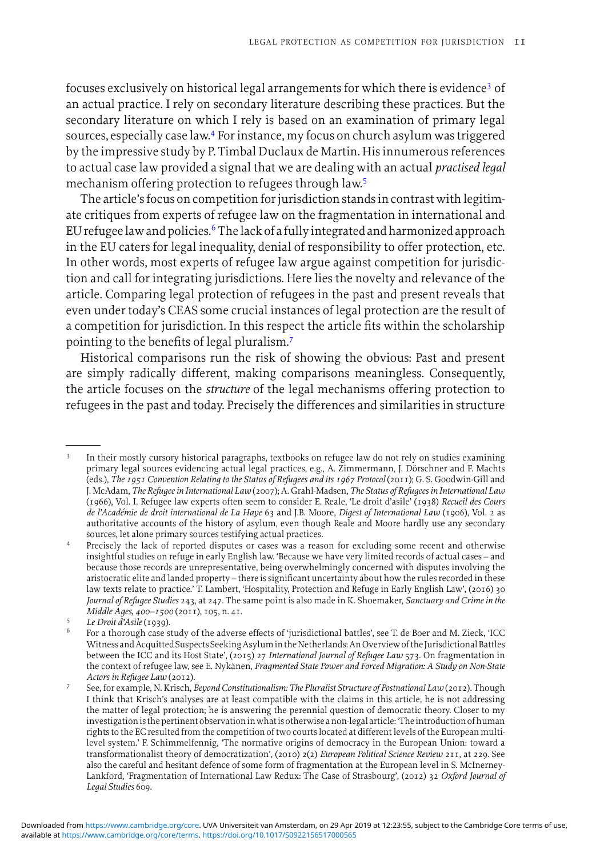focuses exclusively on historical legal arrangements for which there is evidence<sup>3</sup> of an actual practice. I rely on secondary literature describing these practices. But the secondary literature on which I rely is based on an examination of primary legal sources, especially case law.4 For instance, my focus on church asylum was triggered by the impressive study by P. Timbal Duclaux de Martin. His innumerous references to actual case law provided a signal that we are dealing with an actual *practised legal* mechanism offering protection to refugees through law.<sup>5</sup>

The article's focus on competition for jurisdiction stands in contrast with legitimate critiques from experts of refugee law on the fragmentation in international and EU refugee law and policies.<sup>6</sup> The lack of a fully integrated and harmonized approach in the EU caters for legal inequality, denial of responsibility to offer protection, etc. In other words, most experts of refugee law argue against competition for jurisdiction and call for integrating jurisdictions. Here lies the novelty and relevance of the article. Comparing legal protection of refugees in the past and present reveals that even under today's CEAS some crucial instances of legal protection are the result of a competition for jurisdiction. In this respect the article fits within the scholarship pointing to the benefits of legal pluralism.<sup>7</sup>

Historical comparisons run the risk of showing the obvious: Past and present are simply radically different, making comparisons meaningless. Consequently, the article focuses on the *structure* of the legal mechanisms offering protection to refugees in the past and today. Precisely the differences and similarities in structure

In their mostly cursory historical paragraphs, textbooks on refugee law do not rely on studies examining primary legal sources evidencing actual legal practices, e.g., A. Zimmermann, J. Dorschner and F. Machts ¨ (eds.), *The 1951 Convention Relating to the Status of Refugees and its 1967 Protocol* (2011); G. S. Goodwin-Gill and J. McAdam, *The Refugee in International Law* (2007); A. Grahl-Madsen, *The Status of Refugees in International Law* (1966), Vol. I. Refugee law experts often seem to consider E. Reale, 'Le droit d'asile' (1938) *Recueil des Cours de l'Academie de droit international de La Haye ´* 63 and J.B. Moore, *Digest of International Law* (1906), Vol. 2 as authoritative accounts of the history of asylum, even though Reale and Moore hardly use any secondary sources, let alone primary sources testifying actual practices.

<sup>4</sup> Precisely the lack of reported disputes or cases was a reason for excluding some recent and otherwise insightful studies on refuge in early English law. 'Because we have very limited records of actual cases – and because those records are unrepresentative, being overwhelmingly concerned with disputes involving the aristocratic elite and landed property – there is significant uncertainty about how the rules recorded in these law texts relate to practice.' T. Lambert, 'Hospitality, Protection and Refuge in Early English Law', (2016) 30 *Journal of Refugee Studies* 243, at 247. The same point is also made in K. Shoemaker, *Sanctuary and Crime in the Middle Ages, 400–1500* (2011), 105, n. 41.

<sup>5</sup> *Le Droit d'Asile* (1939).

<sup>6</sup> For a thorough case study of the adverse effects of 'jurisdictional battles', see T. de Boer and M. Zieck, 'ICC WitnessandAcquittedSuspectsSeekingAsylumin theNetherlands:AnOverview of the Jurisdictional Battles between the ICC and its Host State', (2015) 27 *International Journal of Refugee Law* 573. On fragmentation in the context of refugee law, see E. Nykänen, *Fragmented State Power and Forced Migration: A Study on Non-State Actors in Refugee Law* (2012).

<sup>7</sup> See, for example, N. Krisch, *Beyond Constitutionalism: The Pluralist Structure of Postnational Law* (2012). Though I think that Krisch's analyses are at least compatible with the claims in this article, he is not addressing the matter of legal protection; he is answering the perennial question of democratic theory. Closer to my investigationis the pertinent observationinwhatis otherwise a non-legal article: 'Theintroduction of human rights to the EC resulted from the competition of two courts located at different levels of the European multilevel system.' F. Schimmelfennig, 'The normative origins of democracy in the European Union: toward a transformationalist theory of democratization', (2010) 2(2) *European Political Science Review* 211, at 229. See also the careful and hesitant defence of some form of fragmentation at the European level in S. McInerney-Lankford, 'Fragmentation of International Law Redux: The Case of Strasbourg', (2012) 32 *Oxford Journal of Legal Studies* 609.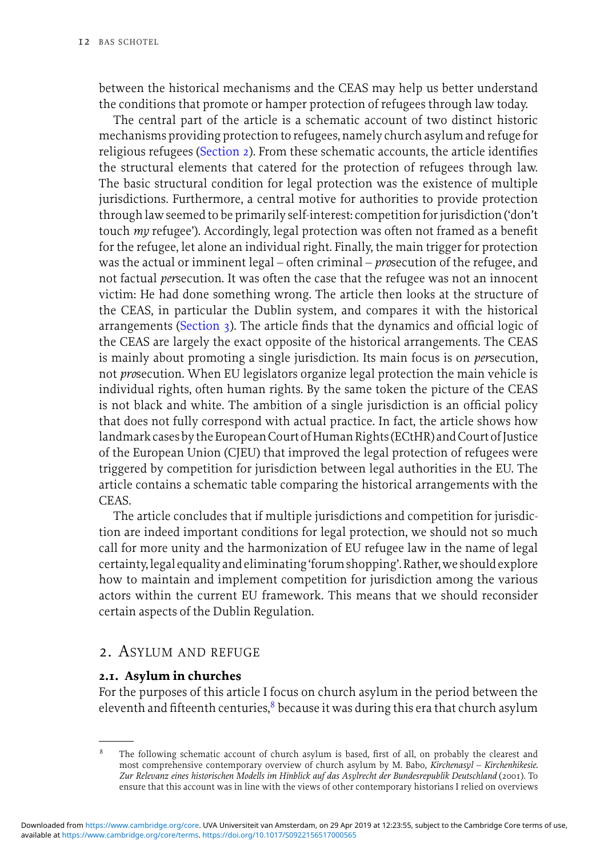between the historical mechanisms and the CEAS may help us better understand the conditions that promote or hamper protection of refugees through law today.

The central part of the article is a schematic account of two distinct historic mechanisms providing protection to refugees, namely church asylum and refuge for religious refugees (Section 2). From these schematic accounts, the article identifies the structural elements that catered for the protection of refugees through law. The basic structural condition for legal protection was the existence of multiple jurisdictions. Furthermore, a central motive for authorities to provide protection through law seemed to be primarily self-interest: competition for jurisdiction ('don't touch *my* refugee'). Accordingly, legal protection was often not framed as a benefit for the refugee, let alone an individual right. Finally, the main trigger for protection was the actual or imminent legal – often criminal – *pro*secution of the refugee, and not factual *per*secution. It was often the case that the refugee was not an innocent victim: He had done something wrong. The article then looks at the structure of the CEAS, in particular the Dublin system, and compares it with the historical arrangements (Section  $\alpha$ ). The article finds that the dynamics and official logic of the CEAS are largely the exact opposite of the historical arrangements. The CEAS is mainly about promoting a single jurisdiction. Its main focus is on *per*secution, not *pro*secution. When EU legislators organize legal protection the main vehicle is individual rights, often human rights. By the same token the picture of the CEAS is not black and white. The ambition of a single jurisdiction is an official policy that does not fully correspond with actual practice. In fact, the article shows how landmark cases by the European Court of Human Rights (ECtHR) and Court of Justice of the European Union (CJEU) that improved the legal protection of refugees were triggered by competition for jurisdiction between legal authorities in the EU. The article contains a schematic table comparing the historical arrangements with the CEAS.

The article concludes that if multiple jurisdictions and competition for jurisdiction are indeed important conditions for legal protection, we should not so much call for more unity and the harmonization of EU refugee law in the name of legal certainty, legal equality and eliminating 'forum shopping'. Rather, we should explore how to maintain and implement competition for jurisdiction among the various actors within the current EU framework. This means that we should reconsider certain aspects of the Dublin Regulation.

## 2. ASYLUM AND REFUGE

#### **2.1. Asylum in churches**

For the purposes of this article I focus on church asylum in the period between the eleventh and fifteenth centuries, $\delta$  because it was during this era that church asylum

The following schematic account of church asylum is based, first of all, on probably the clearest and most comprehensive contemporary overview of church asylum by M. Babo, *Kirchenasyl – Kirchenhikesie. Zur Relevanz eines historischen Modells im Hinblick auf das Asylrecht der Bundesrepublik Deutschland* (2001). To ensure that this account was in line with the views of other contemporary historians I relied on overviews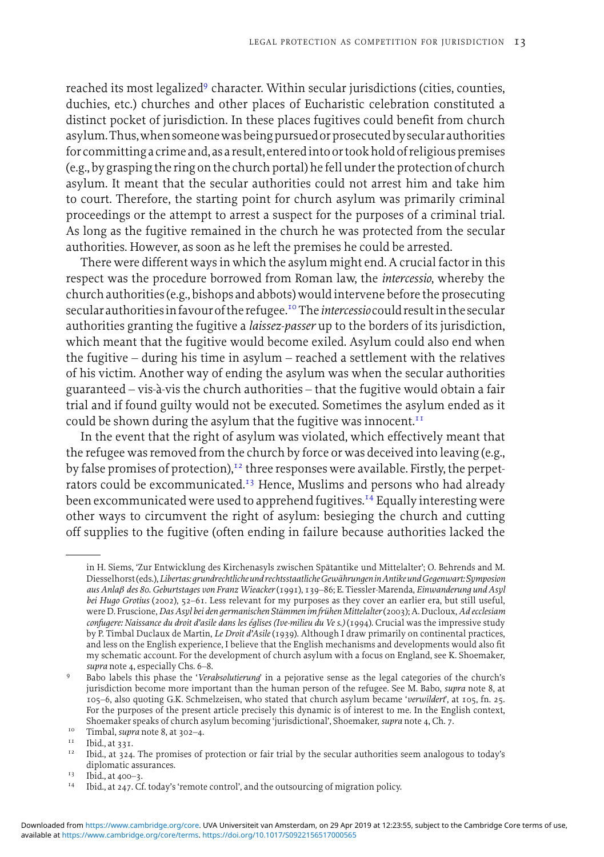reached its most legalized<sup>9</sup> character. Within secular jurisdictions (cities, counties, duchies, etc.) churches and other places of Eucharistic celebration constituted a distinct pocket of jurisdiction. In these places fugitives could benefit from church asylum. Thus, when someone was being pursued or prosecuted by secular authorities for committing a crime and, as a result, enteredinto or took hold of religious premises (e.g., by grasping the ring on the church portal) he fell under the protection of church asylum. It meant that the secular authorities could not arrest him and take him to court. Therefore, the starting point for church asylum was primarily criminal proceedings or the attempt to arrest a suspect for the purposes of a criminal trial. As long as the fugitive remained in the church he was protected from the secular authorities. However, as soon as he left the premises he could be arrested.

There were different ways in which the asylum might end. A crucial factor in this respect was the procedure borrowed from Roman law, the *intercessio*, whereby the church authorities (e.g., bishops and abbots) wouldintervene before the prosecuting secularauthoritiesin favour of the refugee.10 The*intercessio* could resultin the secular authorities granting the fugitive a *laissez-passer* up to the borders of its jurisdiction, which meant that the fugitive would become exiled. Asylum could also end when the fugitive – during his time in asylum – reached a settlement with the relatives of his victim. Another way of ending the asylum was when the secular authorities guaranteed – vis-a-vis the church authorities – that the fugitive would obtain a fair ` trial and if found guilty would not be executed. Sometimes the asylum ended as it could be shown during the asylum that the fugitive was innocent. $^{II}$ 

In the event that the right of asylum was violated, which effectively meant that the refugee was removed from the church by force or was deceived into leaving (e.g., by false promises of protection), $12$  three responses were available. Firstly, the perpetrators could be excommunicated.<sup>13</sup> Hence, Muslims and persons who had already been excommunicated were used to apprehend fugitives.<sup>14</sup> Equally interesting were other ways to circumvent the right of asylum: besieging the church and cutting off supplies to the fugitive (often ending in failure because authorities lacked the

in H. Siems, 'Zur Entwicklung des Kirchenasyls zwischen Spatantike und Mittelalter'; O. Behrends and M. ¨ Diesselhorst (eds.),*Libertas:grundrechtliche und rechtsstaatlicheGewahrungeninAntike undGegenwart: Symposion ¨ aus Anla*β *des 80. Geburtstages von Franz Wieacker*(1991), 139–86; E. Tiessler-Marenda, *Einwanderung und Asyl bei Hugo Grotius* (2002), 52–61. Less relevant for my purposes as they cover an earlier era, but still useful, were D. Fruscione,*Das Asyl bei den germanischen Stammen im fr ¨ uhen Mittelalter ¨* (2003); A. Ducloux,*Ad ecclesiam confugere: Naissance du droit d'asile dans les eglises (Ive-milieu du Ve s.) ´* (1994). Crucial was the impressive study by P. Timbal Duclaux de Martin, *Le Droit d'Asile* (1939). Although I draw primarily on continental practices, and less on the English experience, I believe that the English mechanisms and developments would also fit my schematic account. For the development of church asylum with a focus on England, see K. Shoemaker, *supra* note 4, especially Chs. 6–8.

<sup>9</sup> Babo labels this phase the '*Verabsolutierung*' in a pejorative sense as the legal categories of the church's jurisdiction become more important than the human person of the refugee. See M. Babo, *supra* note 8, at 105–6, also quoting G.K. Schmelzeisen, who stated that church asylum became '*verwildert*', at 105, fn. 25. For the purposes of the present article precisely this dynamic is of interest to me. In the English context, Shoemaker speaks of church asylum becoming 'jurisdictional', Shoemaker, *supra* note 4, Ch. 7.

<sup>&</sup>lt;sup>10</sup> Timbal, *supra* note 8, at 302–4.

 $11$  Ibid., at 331.

<sup>&</sup>lt;sup>12</sup> Ibid., at 324. The promises of protection or fair trial by the secular authorities seem analogous to today's diplomatic assurances.

 $13$  Ibid., at 400-3.

<sup>&</sup>lt;sup>14</sup> Ibid., at 247. Cf. today's 'remote control', and the outsourcing of migration policy.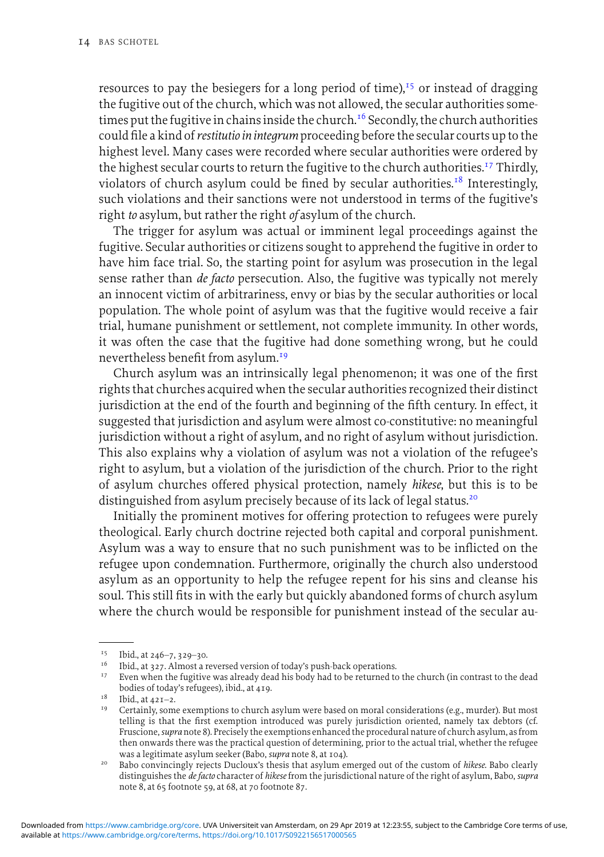resources to pay the besiegers for a long period of time), $15$  or instead of dragging the fugitive out of the church, which was not allowed, the secular authorities sometimes put the fugitive in chains inside the church.<sup>16</sup> Secondly, the church authorities could file a kind of*restitutio in integrum*proceeding before the secular courts up to the highest level. Many cases were recorded where secular authorities were ordered by the highest secular courts to return the fugitive to the church authorities.<sup>17</sup> Thirdly, violators of church asylum could be fined by secular authorities.<sup>18</sup> Interestingly, such violations and their sanctions were not understood in terms of the fugitive's right *to* asylum, but rather the right *of* asylum of the church.

The trigger for asylum was actual or imminent legal proceedings against the fugitive. Secular authorities or citizens sought to apprehend the fugitive in order to have him face trial. So, the starting point for asylum was prosecution in the legal sense rather than *de facto* persecution. Also, the fugitive was typically not merely an innocent victim of arbitrariness, envy or bias by the secular authorities or local population. The whole point of asylum was that the fugitive would receive a fair trial, humane punishment or settlement, not complete immunity. In other words, it was often the case that the fugitive had done something wrong, but he could nevertheless benefit from asylum.<sup>19</sup>

Church asylum was an intrinsically legal phenomenon; it was one of the first rights that churches acquired when the secular authorities recognized their distinct jurisdiction at the end of the fourth and beginning of the fifth century. In effect, it suggested that jurisdiction and asylum were almost co-constitutive: no meaningful jurisdiction without a right of asylum, and no right of asylum without jurisdiction. This also explains why a violation of asylum was not a violation of the refugee's right to asylum, but a violation of the jurisdiction of the church. Prior to the right of asylum churches offered physical protection, namely *hikese*, but this is to be distinguished from asylum precisely because of its lack of legal status.<sup>20</sup>

Initially the prominent motives for offering protection to refugees were purely theological. Early church doctrine rejected both capital and corporal punishment. Asylum was a way to ensure that no such punishment was to be inflicted on the refugee upon condemnation. Furthermore, originally the church also understood asylum as an opportunity to help the refugee repent for his sins and cleanse his soul. This still fits in with the early but quickly abandoned forms of church asylum where the church would be responsible for punishment instead of the secular au-

 $15$  Ibid., at 246–7, 329–30.

 $16$  Ibid., at 327. Almost a reversed version of today's push-back operations.

<sup>&</sup>lt;sup>17</sup> Even when the fugitive was already dead his body had to be returned to the church (in contrast to the dead bodies of today's refugees), ibid., at 419.

 $18$  Ibid., at  $421-2$ .

 $19$  Certainly, some exemptions to church asylum were based on moral considerations (e.g., murder). But most telling is that the first exemption introduced was purely jurisdiction oriented, namely tax debtors (cf. Fruscione,*supra* note 8). Precisely the exemptions enhanced the procedural nature of church asylum, as from then onwards there was the practical question of determining, prior to the actual trial, whether the refugee was a legitimate asylum seeker (Babo, *supra* note 8, at 104).

<sup>20</sup> Babo convincingly rejects Ducloux's thesis that asylum emerged out of the custom of *hikese*. Babo clearly distinguishes the *de facto* character of *hikese*from the jurisdictional nature of the right of asylum, Babo, *supra* note 8, at 65 footnote 59, at 68, at 70 footnote 87.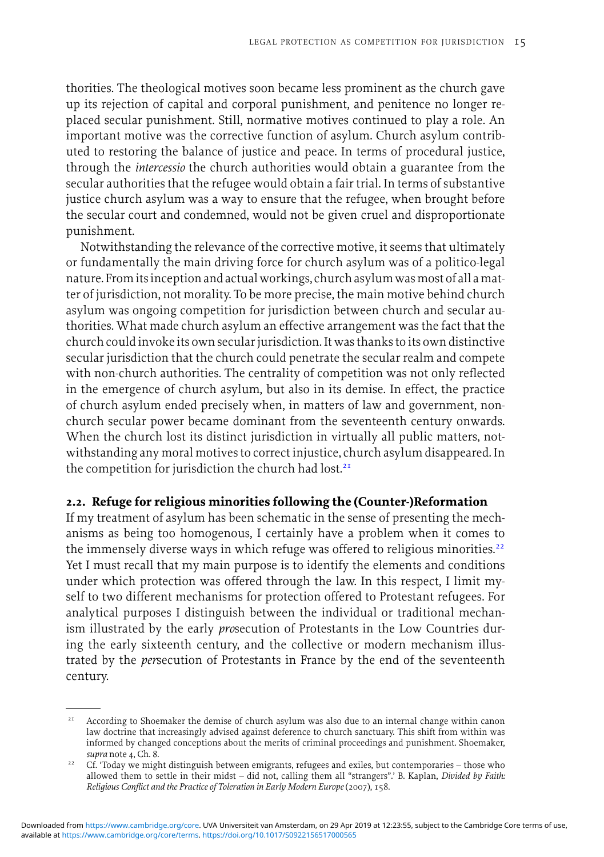thorities. The theological motives soon became less prominent as the church gave up its rejection of capital and corporal punishment, and penitence no longer replaced secular punishment. Still, normative motives continued to play a role. An important motive was the corrective function of asylum. Church asylum contributed to restoring the balance of justice and peace. In terms of procedural justice, through the *intercessio* the church authorities would obtain a guarantee from the secular authorities that the refugee would obtain a fair trial. In terms of substantive justice church asylum was a way to ensure that the refugee, when brought before the secular court and condemned, would not be given cruel and disproportionate punishment.

Notwithstanding the relevance of the corrective motive, it seems that ultimately or fundamentally the main driving force for church asylum was of a politico-legal nature. Fromitsinception and actual workings, church asylum wasmost of all amatter of jurisdiction, not morality. To be more precise, the main motive behind church asylum was ongoing competition for jurisdiction between church and secular authorities. What made church asylum an effective arrangement was the fact that the church could invoke its own secular jurisdiction. It was thanks to its own distinctive secular jurisdiction that the church could penetrate the secular realm and compete with non-church authorities. The centrality of competition was not only reflected in the emergence of church asylum, but also in its demise. In effect, the practice of church asylum ended precisely when, in matters of law and government, nonchurch secular power became dominant from the seventeenth century onwards. When the church lost its distinct jurisdiction in virtually all public matters, notwithstanding any moral motives to correct injustice, church asylum disappeared. In the competition for jurisdiction the church had lost.<sup>21</sup>

#### **2.2. Refuge for religious minorities following the (Counter-)Reformation**

If my treatment of asylum has been schematic in the sense of presenting the mechanisms as being too homogenous, I certainly have a problem when it comes to the immensely diverse ways in which refuge was offered to religious minorities.<sup>22</sup> Yet I must recall that my main purpose is to identify the elements and conditions under which protection was offered through the law. In this respect, I limit myself to two different mechanisms for protection offered to Protestant refugees. For analytical purposes I distinguish between the individual or traditional mechanism illustrated by the early *pro*secution of Protestants in the Low Countries during the early sixteenth century, and the collective or modern mechanism illustrated by the *per*secution of Protestants in France by the end of the seventeenth century.

<sup>&</sup>lt;sup>21</sup> According to Shoemaker the demise of church asylum was also due to an internal change within canon law doctrine that increasingly advised against deference to church sanctuary. This shift from within was informed by changed conceptions about the merits of criminal proceedings and punishment. Shoemaker, *supra* note 4, Ch. 8.

<sup>&</sup>lt;sup>22</sup> Cf. 'Today we might distinguish between emigrants, refugees and exiles, but contemporaries – those who allowed them to settle in their midst – did not, calling them all "strangers".' B. Kaplan, *Divided by Faith: Religious Conflict and the Practice of Toleration in Early Modern Europe* (2007), 158.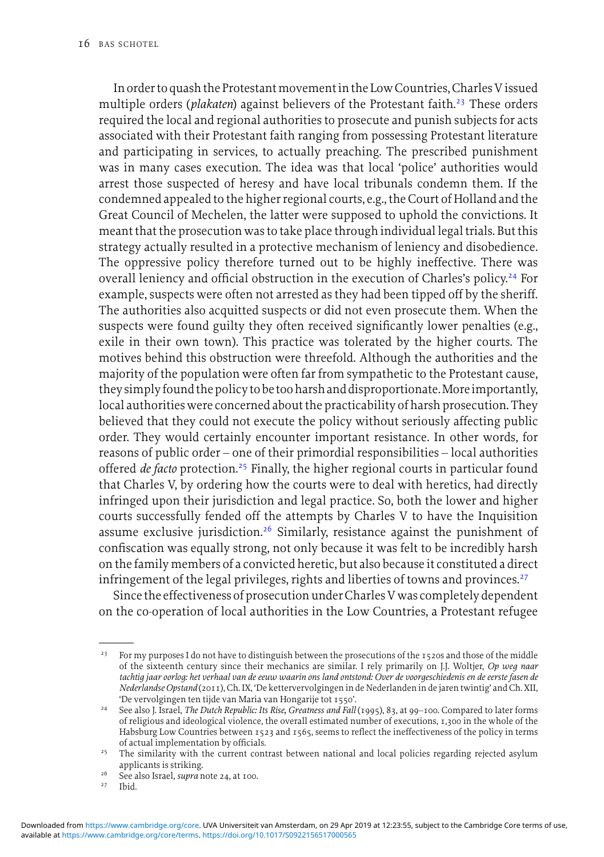In order to quash the Protestant movement in the Low Countries, Charles V issued multiple orders (*plakaten*) against believers of the Protestant faith.<sup>23</sup> These orders required the local and regional authorities to prosecute and punish subjects for acts associated with their Protestant faith ranging from possessing Protestant literature and participating in services, to actually preaching. The prescribed punishment was in many cases execution. The idea was that local 'police' authorities would arrest those suspected of heresy and have local tribunals condemn them. If the condemned appealed to the higher regional courts, e.g., the Court of Holland and the Great Council of Mechelen, the latter were supposed to uphold the convictions. It meant that the prosecution was to take place through individual legal trials. But this strategy actually resulted in a protective mechanism of leniency and disobedience. The oppressive policy therefore turned out to be highly ineffective. There was overall leniency and official obstruction in the execution of Charles's policy.<sup>24</sup> For example, suspects were often not arrested as they had been tipped off by the sheriff. The authorities also acquitted suspects or did not even prosecute them. When the suspects were found guilty they often received significantly lower penalties (e.g., exile in their own town). This practice was tolerated by the higher courts. The motives behind this obstruction were threefold. Although the authorities and the majority of the population were often far from sympathetic to the Protestant cause, they simply found the policy to be tooharshand disproportionate.Moreimportantly, local authorities were concerned about the practicability of harsh prosecution. They believed that they could not execute the policy without seriously affecting public order. They would certainly encounter important resistance. In other words, for reasons of public order – one of their primordial responsibilities – local authorities offered *de facto* protection.<sup>25</sup> Finally, the higher regional courts in particular found that Charles V, by ordering how the courts were to deal with heretics, had directly infringed upon their jurisdiction and legal practice. So, both the lower and higher courts successfully fended off the attempts by Charles V to have the Inquisition assume exclusive jurisdiction.<sup>26</sup> Similarly, resistance against the punishment of confiscation was equally strong, not only because it was felt to be incredibly harsh on the family members of a convicted heretic, but also because it constituted a direct infringement of the legal privileges, rights and liberties of towns and provinces.<sup>27</sup>

Since the effectiveness of prosecution under Charles V was completely dependent on the co-operation of local authorities in the Low Countries, a Protestant refugee

<sup>&</sup>lt;sup>23</sup> For my purposes I do not have to distinguish between the prosecutions of the 1520s and those of the middle of the sixteenth century since their mechanics are similar. I rely primarily on J.J. Woltjer, *Op weg naar tachtig jaar oorlog: het verhaal van de eeuw waarin ons land ontstond: Over de voorgeschiedenis en de eerste fasen de Nederlandse Opstand* (2011), Ch. IX, 'De kettervervolgingen in de Nederlanden in de jaren twintig' and Ch. XII, 'De vervolgingen ten tijde van Maria van Hongarije tot 1550'.

<sup>&</sup>lt;sup>24</sup> See also J. Israel, *The Dutch Republic: Its Rise, Greatness and Fall* (1995), 83, at 99-100. Compared to later forms of religious and ideological violence, the overall estimated number of executions, 1,300 in the whole of the Habsburg Low Countries between 1523 and 1565, seems to reflect the ineffectiveness of the policy in terms of actual implementation by officials.

<sup>&</sup>lt;sup>25</sup> The similarity with the current contrast between national and local policies regarding rejected asylum applicants is striking.

<sup>&</sup>lt;sup>26</sup> See also Israel, *supra* note 24, at 100.<br><sup>27</sup> Ibid

<sup>27</sup> Ibid.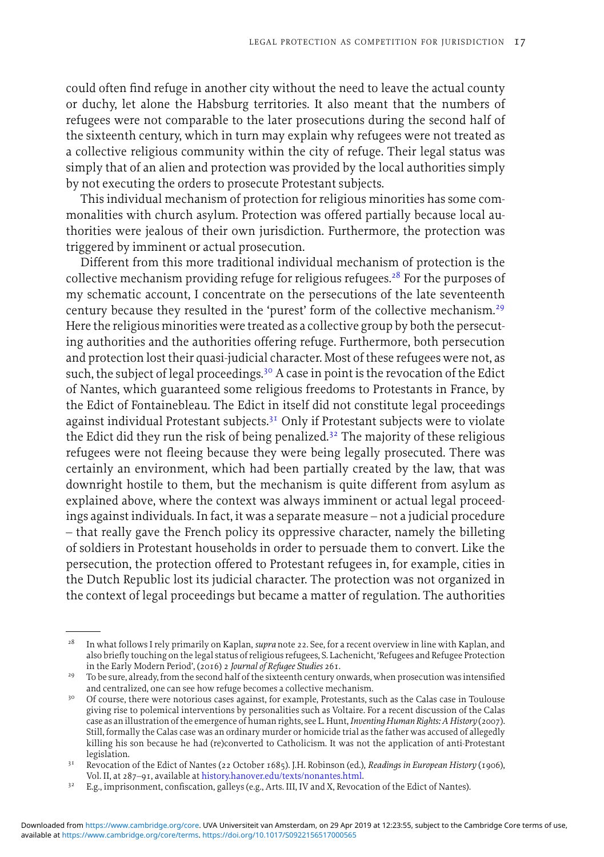could often find refuge in another city without the need to leave the actual county or duchy, let alone the Habsburg territories. It also meant that the numbers of refugees were not comparable to the later prosecutions during the second half of the sixteenth century, which in turn may explain why refugees were not treated as a collective religious community within the city of refuge. Their legal status was simply that of an alien and protection was provided by the local authorities simply by not executing the orders to prosecute Protestant subjects.

This individual mechanism of protection for religious minorities has some commonalities with church asylum. Protection was offered partially because local authorities were jealous of their own jurisdiction. Furthermore, the protection was triggered by imminent or actual prosecution.

Different from this more traditional individual mechanism of protection is the collective mechanism providing refuge for religious refugees.<sup>28</sup> For the purposes of my schematic account, I concentrate on the persecutions of the late seventeenth century because they resulted in the 'purest' form of the collective mechanism.<sup>29</sup> Here the religious minorities were treated as a collective group by both the persecuting authorities and the authorities offering refuge. Furthermore, both persecution and protection lost their quasi-judicial character. Most of these refugees were not, as such, the subject of legal proceedings.<sup>30</sup> A case in point is the revocation of the Edict of Nantes, which guaranteed some religious freedoms to Protestants in France, by the Edict of Fontainebleau. The Edict in itself did not constitute legal proceedings against individual Protestant subjects.<sup>31</sup> Only if Protestant subjects were to violate the Edict did they run the risk of being penalized.<sup>32</sup> The majority of these religious refugees were not fleeing because they were being legally prosecuted. There was certainly an environment, which had been partially created by the law, that was downright hostile to them, but the mechanism is quite different from asylum as explained above, where the context was always imminent or actual legal proceedings against individuals. In fact, it was a separate measure – not a judicial procedure – that really gave the French policy its oppressive character, namely the billeting of soldiers in Protestant households in order to persuade them to convert. Like the persecution, the protection offered to Protestant refugees in, for example, cities in the Dutch Republic lost its judicial character. The protection was not organized in the context of legal proceedings but became a matter of regulation. The authorities

<sup>28</sup> In what follows I rely primarily on Kaplan, *supra* note 22. See, for a recent overview in line with Kaplan, and also briefly touching on the legal status of religious refugees, S. Lachenicht, 'Refugees and Refugee Protection in the Early Modern Period', (2016) 2 *Journal of Refugee Studies* 261.

<sup>&</sup>lt;sup>29</sup> To be sure, already, from the second half of the sixteenth century onwards, when prosecution was intensified and centralized, one can see how refuge becomes a collective mechanism.

<sup>&</sup>lt;sup>30</sup> Of course, there were notorious cases against, for example, Protestants, such as the Calas case in Toulouse giving rise to polemical interventions by personalities such as Voltaire. For a recent discussion of the Calas case as an illustration of the emergence of human rights, see L. Hunt,*Inventing Human Rights: A History* (2007). Still, formally the Calas case was an ordinary murder or homicide trial as the father was accused of allegedly killing his son because he had (re)converted to Catholicism. It was not the application of anti-Protestant legislation.

<sup>31</sup> Revocation of the Edict of Nantes (22 October 1685). J.H. Robinson (ed.), *Readings in European History* (1906), Vol. II, at 287–91, available at [history.hanover.edu/texts/nonantes.html.](http://history.hanover.edu/texts/nonantes.html)

<sup>&</sup>lt;sup>32</sup> E.g., imprisonment, confiscation, galleys (e.g., Arts. III, IV and X, Revocation of the Edict of Nantes).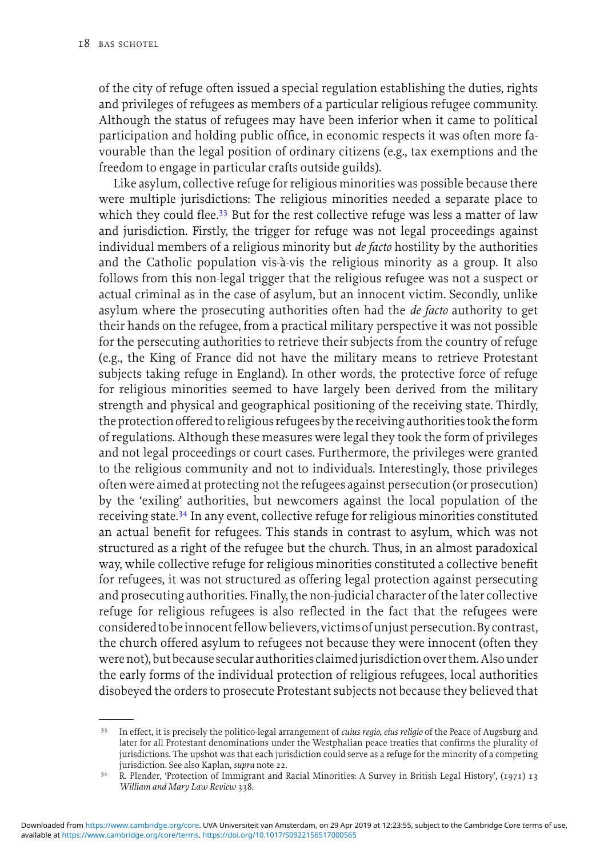of the city of refuge often issued a special regulation establishing the duties, rights and privileges of refugees as members of a particular religious refugee community. Although the status of refugees may have been inferior when it came to political participation and holding public office, in economic respects it was often more favourable than the legal position of ordinary citizens (e.g., tax exemptions and the freedom to engage in particular crafts outside guilds).

Like asylum, collective refuge for religious minorities was possible because there were multiple jurisdictions: The religious minorities needed a separate place to which they could flee.<sup>33</sup> But for the rest collective refuge was less a matter of law and jurisdiction. Firstly, the trigger for refuge was not legal proceedings against individual members of a religious minority but *de facto* hostility by the authorities and the Catholic population vis-à-vis the religious minority as a group. It also follows from this non-legal trigger that the religious refugee was not a suspect or actual criminal as in the case of asylum, but an innocent victim. Secondly, unlike asylum where the prosecuting authorities often had the *de facto* authority to get their hands on the refugee, from a practical military perspective it was not possible for the persecuting authorities to retrieve their subjects from the country of refuge (e.g., the King of France did not have the military means to retrieve Protestant subjects taking refuge in England). In other words, the protective force of refuge for religious minorities seemed to have largely been derived from the military strength and physical and geographical positioning of the receiving state. Thirdly, the protection offered to religious refugees by the receiving authorities took the form of regulations. Although these measures were legal they took the form of privileges and not legal proceedings or court cases. Furthermore, the privileges were granted to the religious community and not to individuals. Interestingly, those privileges often were aimed at protecting not the refugees against persecution (or prosecution) by the 'exiling' authorities, but newcomers against the local population of the receiving state.<sup>34</sup> In any event, collective refuge for religious minorities constituted an actual benefit for refugees. This stands in contrast to asylum, which was not structured as a right of the refugee but the church. Thus, in an almost paradoxical way, while collective refuge for religious minorities constituted a collective benefit for refugees, it was not structured as offering legal protection against persecuting and prosecuting authorities. Finally, the non-judicial character of the later collective refuge for religious refugees is also reflected in the fact that the refugees were considered to beinnocent fellow believers, victims ofunjust persecution. By contrast, the church offered asylum to refugees not because they were innocent (often they were not), but because secular authorities claimedjurisdiction over them.Also under the early forms of the individual protection of religious refugees, local authorities disobeyed the orders to prosecute Protestant subjects not because they believed that

<sup>33</sup> In effect, it is precisely the politico-legal arrangement of *cuius regio, eius religio* of the Peace of Augsburg and later for all Protestant denominations under the Westphalian peace treaties that confirms the plurality of jurisdictions. The upshot was that each jurisdiction could serve as a refuge for the minority of a competing jurisdiction. See also Kaplan, *supra* note 22.

<sup>34</sup> R. Plender, 'Protection of Immigrant and Racial Minorities: A Survey in British Legal History', (1971) 13 *William and Mary Law Review* 338.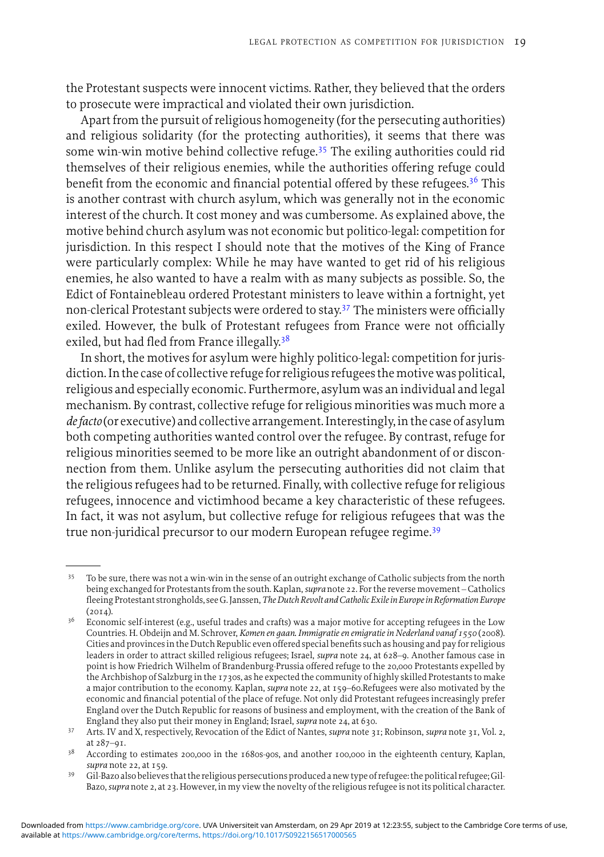the Protestant suspects were innocent victims. Rather, they believed that the orders to prosecute were impractical and violated their own jurisdiction.

Apart from the pursuit of religious homogeneity (for the persecuting authorities) and religious solidarity (for the protecting authorities), it seems that there was some win-win motive behind collective refuge.<sup>35</sup> The exiling authorities could rid themselves of their religious enemies, while the authorities offering refuge could benefit from the economic and financial potential offered by these refugees.<sup>36</sup> This is another contrast with church asylum, which was generally not in the economic interest of the church. It cost money and was cumbersome. As explained above, the motive behind church asylum was not economic but politico-legal: competition for jurisdiction. In this respect I should note that the motives of the King of France were particularly complex: While he may have wanted to get rid of his religious enemies, he also wanted to have a realm with as many subjects as possible. So, the Edict of Fontainebleau ordered Protestant ministers to leave within a fortnight, yet non-clerical Protestant subjects were ordered to stay.<sup>37</sup> The ministers were officially exiled. However, the bulk of Protestant refugees from France were not officially exiled, but had fled from France illegally.<sup>38</sup>

In short, the motives for asylum were highly politico-legal: competition for jurisdiction. In the case of collective refuge for religious refugees themotive was political, religious and especially economic. Furthermore, asylum was an individual and legal mechanism. By contrast, collective refuge for religious minorities was much more a *de facto* (or executive) and collective arrangement. Interestingly,in the case of asylum both competing authorities wanted control over the refugee. By contrast, refuge for religious minorities seemed to be more like an outright abandonment of or disconnection from them. Unlike asylum the persecuting authorities did not claim that the religious refugees had to be returned. Finally, with collective refuge for religious refugees, innocence and victimhood became a key characteristic of these refugees. In fact, it was not asylum, but collective refuge for religious refugees that was the true non-juridical precursor to our modern European refugee regime.39

<sup>&</sup>lt;sup>35</sup> To be sure, there was not a win-win in the sense of an outright exchange of Catholic subjects from the north being exchanged for Protestants from the south. Kaplan,*supra* note 22. For the reverse movement – Catholics fleeing Protestant strongholds, see G. Janssen,*TheDutch Revolt and Catholic Exile in Europe in Reformation Europe*  $(20I4)$ .

<sup>&</sup>lt;sup>36</sup> Economic self-interest (e.g., useful trades and crafts) was a major motive for accepting refugees in the Low Countries. H. Obdeijn and M. Schrover, *Komen en gaan. Immigratie en emigratie in Nederland vanaf 1550* (2008). Cities and provincesin the Dutch Republic even offered special benefits such as housing and pay for religious leaders in order to attract skilled religious refugees; Israel, *supra* note 24, at 628–9. Another famous case in point is how Friedrich Wilhelm of Brandenburg-Prussia offered refuge to the 20,000 Protestants expelled by the Archbishop of Salzburg in the 1730s, as he expected the community of highly skilled Protestants to make a major contribution to the economy. Kaplan, *supra* note 22, at 159–60.Refugees were also motivated by the economic and financial potential of the place of refuge. Not only did Protestant refugees increasingly prefer England over the Dutch Republic for reasons of business and employment, with the creation of the Bank of England they also put their money in England; Israel, *supra* note 24, at 630.

<sup>37</sup> Arts. IV and X, respectively, Revocation of the Edict of Nantes, *supra* note 31; Robinson, *supra* note 31, Vol. 2, at 287–91.

<sup>&</sup>lt;sup>38</sup> According to estimates 200,000 in the 1680s-90s, and another 100,000 in the eighteenth century, Kaplan, *supra* note 22, at 159.

<sup>39</sup> Gil-Bazo also believes that the religious persecutions produced a new type of refugee: the political refugee;Gil-Bazo,*supra* note 2, at 23. However, in my view the novelty of the religious refugee is not its political character.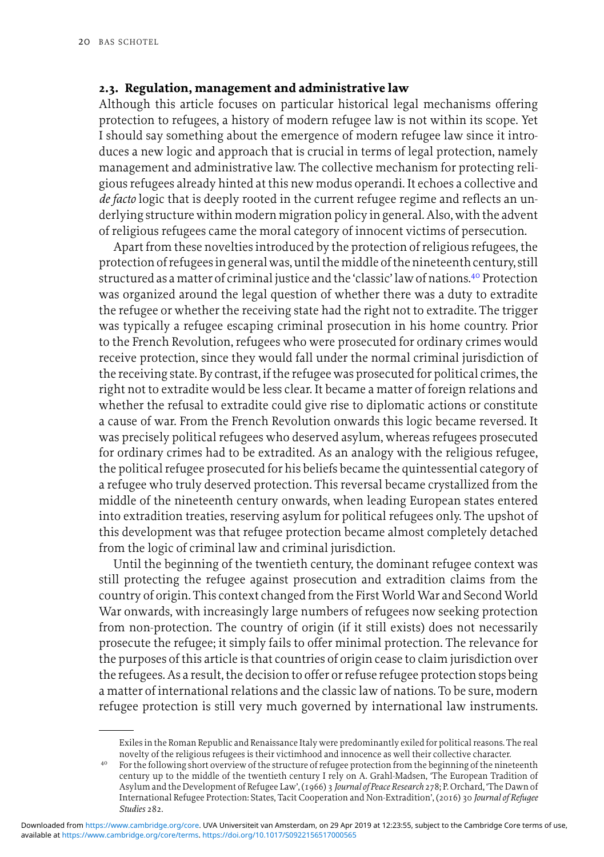#### **2.3. Regulation, management and administrative law**

Although this article focuses on particular historical legal mechanisms offering protection to refugees, a history of modern refugee law is not within its scope. Yet I should say something about the emergence of modern refugee law since it introduces a new logic and approach that is crucial in terms of legal protection, namely management and administrative law. The collective mechanism for protecting religious refugees already hinted at this new modus operandi. It echoes a collective and *de facto* logic that is deeply rooted in the current refugee regime and reflects an underlying structure within modern migration policy in general. Also, with the advent of religious refugees came the moral category of innocent victims of persecution.

Apart from these novelties introduced by the protection of religious refugees, the protection of refugeesin general was, until themiddle of the nineteenth century, still structured as a matter of criminal justice and the 'classic'law of nations.<sup>40</sup> Protection was organized around the legal question of whether there was a duty to extradite the refugee or whether the receiving state had the right not to extradite. The trigger was typically a refugee escaping criminal prosecution in his home country. Prior to the French Revolution, refugees who were prosecuted for ordinary crimes would receive protection, since they would fall under the normal criminal jurisdiction of the receiving state. By contrast, if the refugee was prosecuted for political crimes, the right not to extradite would be less clear. It became a matter of foreign relations and whether the refusal to extradite could give rise to diplomatic actions or constitute a cause of war. From the French Revolution onwards this logic became reversed. It was precisely political refugees who deserved asylum, whereas refugees prosecuted for ordinary crimes had to be extradited. As an analogy with the religious refugee, the political refugee prosecuted for his beliefs became the quintessential category of a refugee who truly deserved protection. This reversal became crystallized from the middle of the nineteenth century onwards, when leading European states entered into extradition treaties, reserving asylum for political refugees only. The upshot of this development was that refugee protection became almost completely detached from the logic of criminal law and criminal jurisdiction.

Until the beginning of the twentieth century, the dominant refugee context was still protecting the refugee against prosecution and extradition claims from the country of origin. This context changed from the First World War and Second World War onwards, with increasingly large numbers of refugees now seeking protection from non-protection. The country of origin (if it still exists) does not necessarily prosecute the refugee; it simply fails to offer minimal protection. The relevance for the purposes of this article is that countries of origin cease to claim jurisdiction over the refugees. As a result, the decision to offer or refuse refugee protection stops being a matter of international relations and the classic law of nations. To be sure, modern refugee protection is still very much governed by international law instruments.

Exiles in the Roman Republic and Renaissance Italy were predominantly exiled for political reasons. The real novelty of the religious refugees is their victimhood and innocence as well their collective character.

<sup>40</sup> For the following short overview of the structure of refugee protection from the beginning of the nineteenth century up to the middle of the twentieth century I rely on A. Grahl-Madsen, 'The European Tradition of Asylum and the Development of Refugee Law', (1966) 3 *Journal of Peace Research* 278; P. Orchard, 'The Dawn of International Refugee Protection: States, Tacit Cooperation and Non-Extradition', (2016) 30 *Journal of Refugee Studies* 282.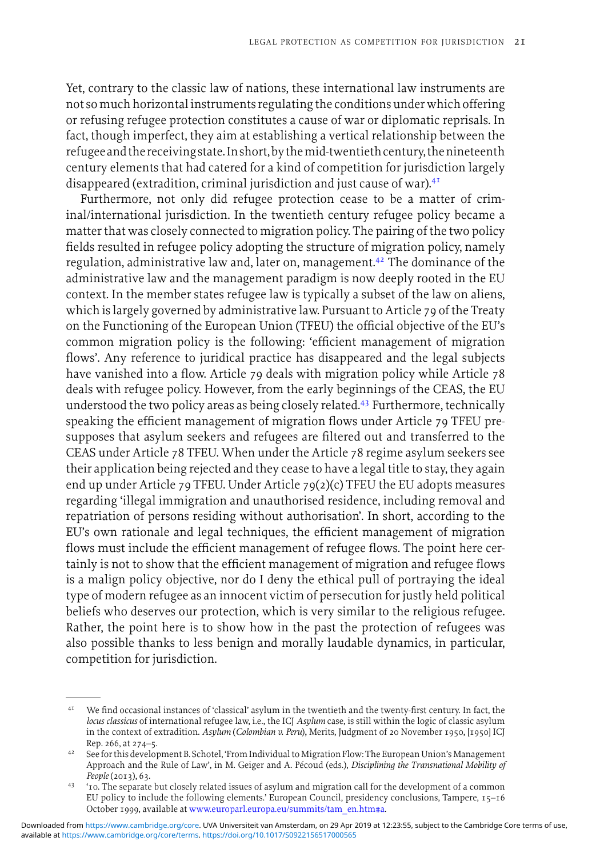Yet, contrary to the classic law of nations, these international law instruments are not so much horizontalinstruments regulating the conditions under which offering or refusing refugee protection constitutes a cause of war or diplomatic reprisals. In fact, though imperfect, they aim at establishing a vertical relationship between the refugee and the receiving state. In short, by the mid-twentieth century, the nineteenth century elements that had catered for a kind of competition for jurisdiction largely disappeared (extradition, criminal jurisdiction and just cause of war).41

Furthermore, not only did refugee protection cease to be a matter of criminal/international jurisdiction. In the twentieth century refugee policy became a matter that was closely connected to migration policy. The pairing of the two policy fields resulted in refugee policy adopting the structure of migration policy, namely regulation, administrative law and, later on, management.<sup>42</sup> The dominance of the administrative law and the management paradigm is now deeply rooted in the EU context. In the member states refugee law is typically a subset of the law on aliens, which is largely governed by administrative law. Pursuant to Article 79 of the Treaty on the Functioning of the European Union (TFEU) the official objective of the EU's common migration policy is the following: 'efficient management of migration flows'. Any reference to juridical practice has disappeared and the legal subjects have vanished into a flow. Article 79 deals with migration policy while Article 78 deals with refugee policy. However, from the early beginnings of the CEAS, the EU understood the two policy areas as being closely related.<sup>43</sup> Furthermore, technically speaking the efficient management of migration flows under Article 79 TFEU presupposes that asylum seekers and refugees are filtered out and transferred to the CEAS under Article 78 TFEU. When under the Article 78 regime asylum seekers see their application being rejected and they cease to have a legal title to stay, they again end up under Article 79 TFEU. Under Article 79(2)(c) TFEU the EU adopts measures regarding 'illegal immigration and unauthorised residence, including removal and repatriation of persons residing without authorisation'. In short, according to the EU's own rationale and legal techniques, the efficient management of migration flows must include the efficient management of refugee flows. The point here certainly is not to show that the efficient management of migration and refugee flows is a malign policy objective, nor do I deny the ethical pull of portraying the ideal type of modern refugee as an innocent victim of persecution for justly held political beliefs who deserves our protection, which is very similar to the religious refugee. Rather, the point here is to show how in the past the protection of refugees was also possible thanks to less benign and morally laudable dynamics, in particular, competition for jurisdiction.

<sup>&</sup>lt;sup>41</sup> We find occasional instances of 'classical' asylum in the twentieth and the twenty-first century. In fact, the *locus classicus* of international refugee law, i.e., the ICJ *Asylum* case, is still within the logic of classic asylum in the context of extradition. *Asylum* (*Colombian v. Peru*)*,* Merits, Judgment of 20 November 1950, [1950] ICJ Rep. 266, at 274–5.

<sup>42</sup> See for this development B. Schotel, 'From Individual to Migration Flow: The European Union's Management Approach and the Rule of Law', in M. Geiger and A. Pécoud (eds.), *Disciplining the Transnational Mobility of People* (2013), 63.

<sup>43</sup> '10. The separate but closely related issues of asylum and migration call for the development of a common EU policy to include the following elements.' European Council, presidency conclusions, Tampere, 15–16 October 1999, available at [www.europarl.europa.eu/summits/tam\\_en.htm#a.](http://www.europarl.europa.eu/summits/tam_en.htm#a)

available at <https://www.cambridge.org/core/terms>.<https://doi.org/10.1017/S0922156517000565> Downloaded from [https://www.cambridge.org/core.](https://www.cambridge.org/core) UVA Universiteit van Amsterdam, on 29 Apr 2019 at 12:23:55, subject to the Cambridge Core terms of use,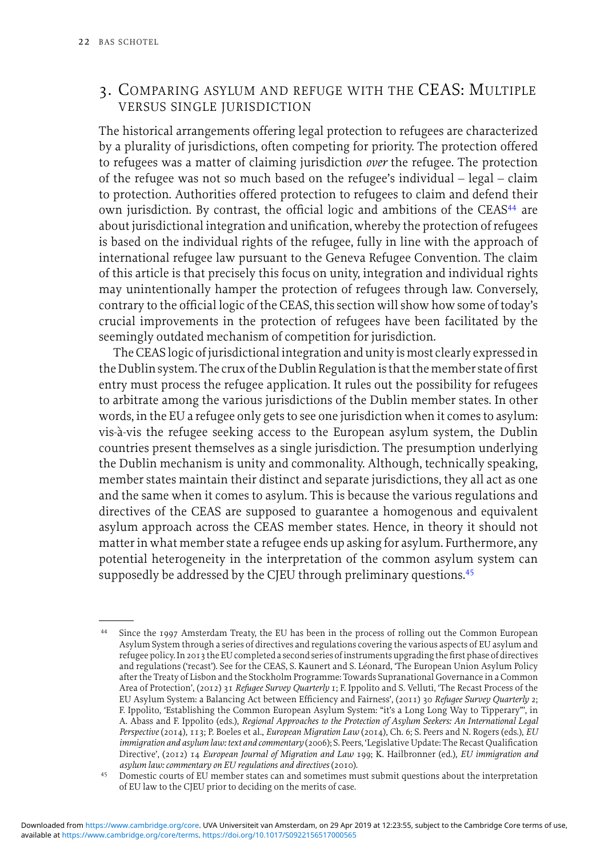## <span id="page-14-0"></span>3. COMPARING ASYLUM AND REFUGE WITH THE CEAS: MULTIPLE VERSUS SINGLE JURISDICTION

The historical arrangements offering legal protection to refugees are characterized by a plurality of jurisdictions, often competing for priority. The protection offered to refugees was a matter of claiming jurisdiction *over* the refugee. The protection of the refugee was not so much based on the refugee's individual – legal – claim to protection. Authorities offered protection to refugees to claim and defend their own jurisdiction. By contrast, the official logic and ambitions of the CEAS<sup>44</sup> are about jurisdictional integration and unification, whereby the protection of refugees is based on the individual rights of the refugee, fully in line with the approach of international refugee law pursuant to the Geneva Refugee Convention. The claim of this article is that precisely this focus on unity, integration and individual rights may unintentionally hamper the protection of refugees through law. Conversely, contrary to the official logic of the CEAS, this section will show how some of today's crucial improvements in the protection of refugees have been facilitated by the seemingly outdated mechanism of competition for jurisdiction.

The CEAS logic of jurisdictional integration and unity is most clearly expressed in the Dublin system. The crux of the Dublin Regulation is that the member state of first entry must process the refugee application. It rules out the possibility for refugees to arbitrate among the various jurisdictions of the Dublin member states. In other words, in the EU a refugee only gets to see one jurisdiction when it comes to asylum: vis-a-vis the refugee seeking access to the European asylum system, the Dublin ` countries present themselves as a single jurisdiction. The presumption underlying the Dublin mechanism is unity and commonality. Although, technically speaking, member states maintain their distinct and separate jurisdictions, they all act as one and the same when it comes to asylum. This is because the various regulations and directives of the CEAS are supposed to guarantee a homogenous and equivalent asylum approach across the CEAS member states. Hence, in theory it should not matter in what member state a refugee ends up asking for asylum. Furthermore, any potential heterogeneity in the interpretation of the common asylum system can supposedly be addressed by the CJEU through preliminary questions.<sup>45</sup>

<sup>44</sup> Since the 1997 Amsterdam Treaty, the EU has been in the process of rolling out the Common European Asylum System through a series of directives and regulations covering the various aspects of EU asylum and refugee policy. In 2013 the EU completed a second series ofinstruments upgrading the first phase of directives and regulations ('recast'). See for the CEAS, S. Kaunert and S. Léonard, 'The European Union Asylum Policy after the Treaty of Lisbon and the Stockholm Programme: Towards Supranational Governance in a Common Area of Protection', (2012) 31 *Refugee Survey Quarterly* 1; F. Ippolito and S. Velluti, 'The Recast Process of the EU Asylum System: a Balancing Act between Efficiency and Fairness', (2011) 30 *Refugee Survey Quarterly* 2; F. Ippolito, 'Establishing the Common European Asylum System: "it's a Long Long Way to Tipperary"', in A. Abass and F. Ippolito (eds.), *Regional Approaches to the Protection of Asylum Seekers: An International Legal Perspective* (2014), 113; P. Boeles et al., *European Migration Law* (2014), Ch. 6; S. Peers and N. Rogers (eds.), *EU immigration and asylum law: text and commentary* (2006); S. Peers, 'Legislative Update: The Recast Qualification Directive', (2012) 14 *European Journal of Migration and Law* 199; K. Hailbronner (ed.), *EU immigration and asylum law: commentary on EU regulations and directives* (2010).

<sup>45</sup> Domestic courts of EU member states can and sometimes must submit questions about the interpretation of EU law to the CJEU prior to deciding on the merits of case.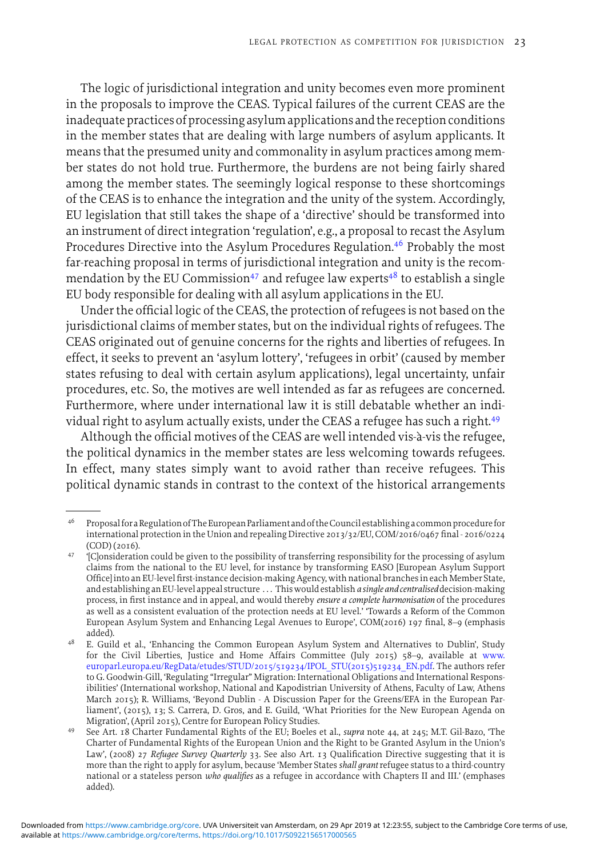The logic of jurisdictional integration and unity becomes even more prominent in the proposals to improve the CEAS. Typical failures of the current CEAS are the inadequate practices of processing asylum applications and the reception conditions in the member states that are dealing with large numbers of asylum applicants. It means that the presumed unity and commonality in asylum practices among member states do not hold true. Furthermore, the burdens are not being fairly shared among the member states. The seemingly logical response to these shortcomings of the CEAS is to enhance the integration and the unity of the system. Accordingly, EU legislation that still takes the shape of a 'directive' should be transformed into an instrument of direct integration 'regulation', e.g., a proposal to recast the Asylum Procedures Directive into the Asylum Procedures Regulation.<sup>46</sup> Probably the most far-reaching proposal in terms of jurisdictional integration and unity is the recommendation by the EU Commission<sup>47</sup> and refugee law experts<sup>48</sup> to establish a single EU body responsible for dealing with all asylum applications in the EU.

Under the official logic of the CEAS, the protection of refugees is not based on the jurisdictional claims of member states, but on the individual rights of refugees. The CEAS originated out of genuine concerns for the rights and liberties of refugees. In effect, it seeks to prevent an 'asylum lottery', 'refugees in orbit' (caused by member states refusing to deal with certain asylum applications), legal uncertainty, unfair procedures, etc. So, the motives are well intended as far as refugees are concerned. Furthermore, where under international law it is still debatable whether an individual right to asylum actually exists, under the CEAS a refugee has such a right.<sup>49</sup>

Although the official motives of the CEAS are well intended vis-a-vis the refugee, ` the political dynamics in the member states are less welcoming towards refugees. In effect, many states simply want to avoid rather than receive refugees. This political dynamic stands in contrast to the context of the historical arrangements

Proposal for a Regulation of The European Parliament and of the Council establishing a common procedure for international protection in the Union and repealing Directive 2013/32/EU, COM/2016/0467 final - 2016/0224 (COD) (2016).

<sup>&</sup>lt;sup>47</sup> '[C]onsideration could be given to the possibility of transferring responsibility for the processing of asylum claims from the national to the EU level, for instance by transforming EASO [European Asylum Support Office]into an EU-level first-instance decision-making Agency, with national branchesin each Member State, and establishing an EU-level appeal structure . . . This would establish*a single and centralised*decision-making process, in first instance and in appeal, and would thereby *ensure a complete harmonisation* of the procedures as well as a consistent evaluation of the protection needs at EU level.' 'Towards a Reform of the Common European Asylum System and Enhancing Legal Avenues to Europe', COM(2016) 197 final, 8–9 (emphasis added).

<sup>48</sup> E. Guild et al., 'Enhancing the Common European Asylum System and Alternatives to Dublin', Study for the Civil Liberties, Justice and Home Affairs Committee (July 2015) 58–9, available at [www.](http://www.europarl.europa.eu/RegData/etudes/STUD/2015/519234/IPOL_STU(2015)519234_EN.pdf) [europarl.europa.eu/RegData/etudes/STUD/2015/519234/IPOL\\_STU\(2015\)519234\\_EN.pdf.](http://www.europarl.europa.eu/RegData/etudes/STUD/2015/519234/IPOL_STU(2015)519234_EN.pdf) The authors refer to G. Goodwin-Gill, 'Regulating "Irregular" Migration: International Obligations and International Responsibilities' (International workshop, National and Kapodistrian University of Athens, Faculty of Law, Athens March 2015); R. Williams, 'Beyond Dublin - A Discussion Paper for the Greens/EFA in the European Parliament', (2015), 13; S. Carrera, D. Gros, and E. Guild, 'What Priorities for the New European Agenda on Migration', (April 2015), Centre for European Policy Studies.

<sup>49</sup> See Art. 18 Charter Fundamental Rights of the EU; Boeles et al., *supra* note 44, at 245; M.T. Gil-Bazo, 'The Charter of Fundamental Rights of the European Union and the Right to be Granted Asylum in the Union's Law', (2008) 27 *Refugee Survey Quarterly* 33. See also Art. 13 Qualification Directive suggesting that it is more than the right to apply for asylum, because 'Member States*shall grant* refugee status to a third-country national or a stateless person *who qualifies* as a refugee in accordance with Chapters II and III.' (emphases added).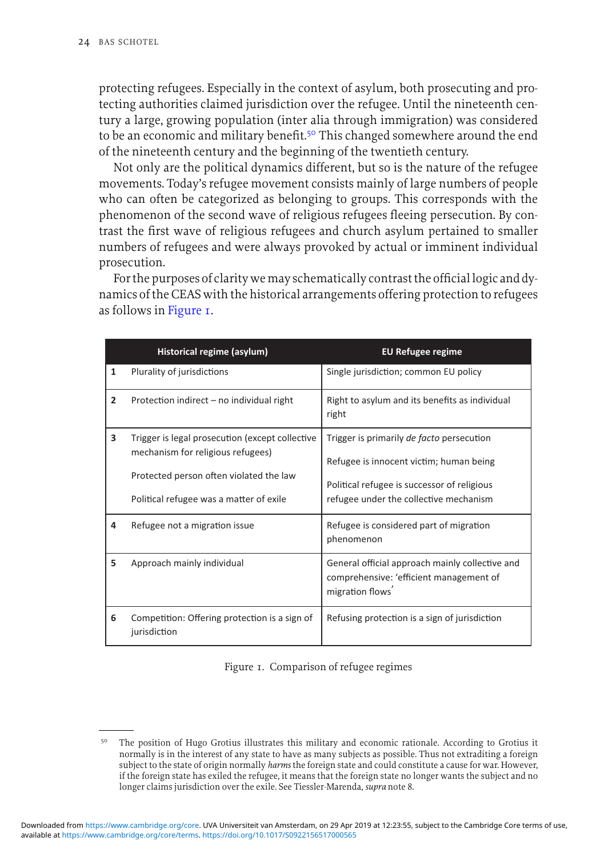protecting refugees. Especially in the context of asylum, both prosecuting and protecting authorities claimed jurisdiction over the refugee. Until the nineteenth century a large, growing population (inter alia through immigration) was considered to be an economic and military benefit.<sup>50</sup> This changed somewhere around the end of the nineteenth century and the beginning of the twentieth century.

Not only are the political dynamics different, but so is the nature of the refugee movements. Today's refugee movement consists mainly of large numbers of people who can often be categorized as belonging to groups. This corresponds with the phenomenon of the second wave of religious refugees fleeing persecution. By contrast the first wave of religious refugees and church asylum pertained to smaller numbers of refugees and were always provoked by actual or imminent individual prosecution.

For the purposes of clarity wemay schematically contrast the officiallogic and dynamics of the CEAS with the historical arrangements offering protection to refugees as follows in Figure 1.

|                | Historical regime (asylum)                                                                                                                                                 | <b>EU Refugee regime</b>                                                                                                                                                      |
|----------------|----------------------------------------------------------------------------------------------------------------------------------------------------------------------------|-------------------------------------------------------------------------------------------------------------------------------------------------------------------------------|
| 1              | Plurality of jurisdictions                                                                                                                                                 | Single jurisdiction; common EU policy                                                                                                                                         |
| $\overline{2}$ | Protection indirect - no individual right                                                                                                                                  | Right to asylum and its benefits as individual<br>right                                                                                                                       |
| 3              | Trigger is legal prosecution (except collective<br>mechanism for religious refugees)<br>Protected person often violated the law<br>Political refugee was a matter of exile | Trigger is primarily de facto persecution<br>Refugee is innocent victim; human being<br>Political refugee is successor of religious<br>refugee under the collective mechanism |
| 4              | Refugee not a migration issue                                                                                                                                              | Refugee is considered part of migration<br>phenomenon                                                                                                                         |
| 5              | Approach mainly individual                                                                                                                                                 | General official approach mainly collective and<br>comprehensive: 'efficient management of<br>migration flows                                                                 |
| 6              | Competition: Offering protection is a sign of<br>jurisdiction                                                                                                              | Refusing protection is a sign of jurisdiction                                                                                                                                 |

Figure 1. Comparison of refugee regimes

<sup>50</sup> The position of Hugo Grotius illustrates this military and economic rationale. According to Grotius it normally is in the interest of any state to have as many subjects as possible. Thus not extraditing a foreign subject to the state of origin normally *harms* the foreign state and could constitute a cause for war. However, if the foreign state has exiled the refugee, it means that the foreign state no longer wants the subject and no longer claims jurisdiction over the exile. See Tiessler-Marenda, *supra* note 8.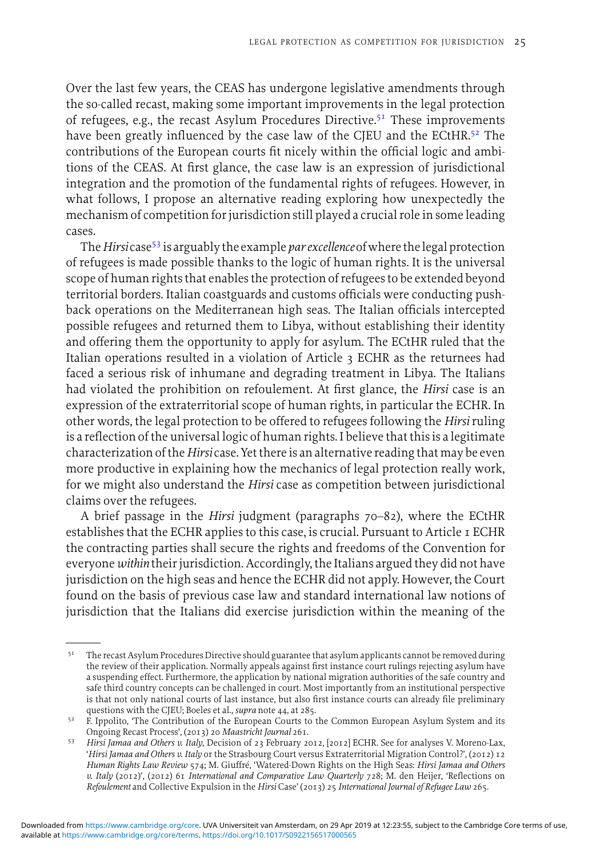Over the last few years, the CEAS has undergone legislative amendments through the so-called recast, making some important improvements in the legal protection of refugees, e.g., the recast Asylum Procedures Directive.51 These improvements have been greatly influenced by the case law of the CJEU and the ECtHR.<sup>52</sup> The contributions of the European courts fit nicely within the official logic and ambitions of the CEAS. At first glance, the case law is an expression of jurisdictional integration and the promotion of the fundamental rights of refugees. However, in what follows, I propose an alternative reading exploring how unexpectedly the mechanism of competition for jurisdiction still played a crucial role in some leading cases.

The*Hirsi* case<sup>53</sup> is arguably the example*par excellence*ofwhere thelegal protection of refugees is made possible thanks to the logic of human rights. It is the universal scope of human rights that enables the protection of refugees to be extended beyond territorial borders. Italian coastguards and customs officials were conducting pushback operations on the Mediterranean high seas. The Italian officials intercepted possible refugees and returned them to Libya, without establishing their identity and offering them the opportunity to apply for asylum. The ECtHR ruled that the Italian operations resulted in a violation of Article 3 ECHR as the returnees had faced a serious risk of inhumane and degrading treatment in Libya. The Italians had violated the prohibition on refoulement. At first glance, the *Hirsi* case is an expression of the extraterritorial scope of human rights, in particular the ECHR. In other words, the legal protection to be offered to refugees following the *Hirsi* ruling is a reflection of the universal logic of human rights. I believe that this is a legitimate characterization of the*Hirsi* case. Yet thereis an alternative reading that may be even more productive in explaining how the mechanics of legal protection really work, for we might also understand the *Hirsi* case as competition between jurisdictional claims over the refugees.

A brief passage in the *Hirsi* judgment (paragraphs 70–82), where the ECtHR establishes that the ECHR applies to this case, is crucial. Pursuant to Article 1 ECHR the contracting parties shall secure the rights and freedoms of the Convention for everyone *within* their jurisdiction. Accordingly, the Italians argued they did not have jurisdiction on the high seas and hence the ECHR did not apply. However, the Court found on the basis of previous case law and standard international law notions of jurisdiction that the Italians did exercise jurisdiction within the meaning of the

<sup>&</sup>lt;sup>51</sup> The recast Asylum Procedures Directive should guarantee that asylum applicants cannot be removed during the review of their application. Normally appeals against first instance court rulings rejecting asylum have a suspending effect. Furthermore, the application by national migration authorities of the safe country and safe third country concepts can be challenged in court. Most importantly from an institutional perspective is that not only national courts of last instance, but also first instance courts can already file preliminary questions with the CJEU; Boeles et al., *supra* note 44, at 285.

<sup>52</sup> F. Ippolito, 'The Contribution of the European Courts to the Common European Asylum System and its Ongoing Recast Process', (2013) 20 *Maastricht Journal* 261.

<sup>53</sup> *Hirsi Jamaa and Others v. Italy*, Decision of 23 February 2012, [2012] ECHR. See for analyses V. Moreno-Lax, '*Hirsi Jamaa and Others v. Italy* or the Strasbourg Court versus Extraterritorial Migration Control?', (2012) 12 *Human Rights Law Review* 574; M. Giuffre, 'Watered-Down Rights on the High Seas: ´ *Hirsi Jamaa and Others v. Italy* (2012)', (2012) 61 *International and Comparative Law Quarterly* 728; M. den Heijer, 'Reflections on *Refoulement* and Collective Expulsion in the *Hirsi* Case' (2013) 25 *International Journal of Refugee Law* 265.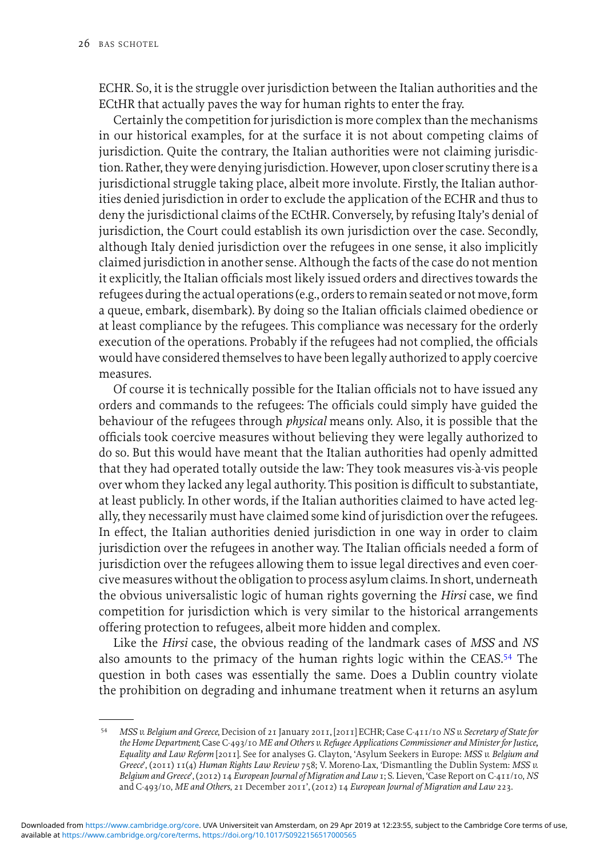ECHR. So, it is the struggle over jurisdiction between the Italian authorities and the ECtHR that actually paves the way for human rights to enter the fray.

Certainly the competition for jurisdiction is more complex than the mechanisms in our historical examples, for at the surface it is not about competing claims of jurisdiction. Quite the contrary, the Italian authorities were not claiming jurisdiction. Rather, they were denying jurisdiction. However, upon closer scrutiny thereis a jurisdictional struggle taking place, albeit more involute. Firstly, the Italian authorities denied jurisdiction in order to exclude the application of the ECHR and thus to deny the jurisdictional claims of the ECtHR. Conversely, by refusing Italy's denial of jurisdiction, the Court could establish its own jurisdiction over the case. Secondly, although Italy denied jurisdiction over the refugees in one sense, it also implicitly claimed jurisdiction in another sense. Although the facts of the case do not mention it explicitly, the Italian officials most likely issued orders and directives towards the refugees during the actual operations (e.g., orders to remain seated or notmove, form a queue, embark, disembark). By doing so the Italian officials claimed obedience or at least compliance by the refugees. This compliance was necessary for the orderly execution of the operations. Probably if the refugees had not complied, the officials would have considered themselves to have beenlegally authorized to apply coercive measures.

Of course it is technically possible for the Italian officials not to have issued any orders and commands to the refugees: The officials could simply have guided the behaviour of the refugees through *physical* means only. Also, it is possible that the officials took coercive measures without believing they were legally authorized to do so. But this would have meant that the Italian authorities had openly admitted that they had operated totally outside the law: They took measures vis-à-vis people over whom they lacked any legal authority. This position is difficult to substantiate, at least publicly. In other words, if the Italian authorities claimed to have acted legally, they necessarily must have claimed some kind of jurisdiction over the refugees. In effect, the Italian authorities denied jurisdiction in one way in order to claim jurisdiction over the refugees in another way. The Italian officials needed a form of jurisdiction over the refugees allowing them to issue legal directives and even coercivemeasures without the obligation to process asylum claims. In short, underneath the obvious universalistic logic of human rights governing the *Hirsi* case, we find competition for jurisdiction which is very similar to the historical arrangements offering protection to refugees, albeit more hidden and complex.

Like the *Hirsi* case, the obvious reading of the landmark cases of *MSS* and *NS* also amounts to the primacy of the human rights logic within the CEAS.<sup>54</sup> The question in both cases was essentially the same. Does a Dublin country violate the prohibition on degrading and inhumane treatment when it returns an asylum

<sup>54</sup> *MSS v. Belgium and Greece*, Decision of 21 January 2011, [2011] ECHR; Case C-411/10 *NS v. Secretary of State for the Home Department*; Case C-493/10 *ME and Others v. Refugee Applications Commissioner and Minister for Justice, Equality and Law Reform* [2011]. See for analyses G. Clayton, 'Asylum Seekers in Europe: *MSS v. Belgium and Greece*', (2011) 11(4) *Human Rights Law Review* 758; V. Moreno-Lax, 'Dismantling the Dublin System: *MSS v. Belgium and Greece*', (2012) 14 *European Journal of Migration and Law* 1; S. Lieven, 'Case Report on C-411/10, *NS* and C-493/10, *ME and Others*, 21 December 2011', (2012) 14 *European Journal of Migration and Law* 223.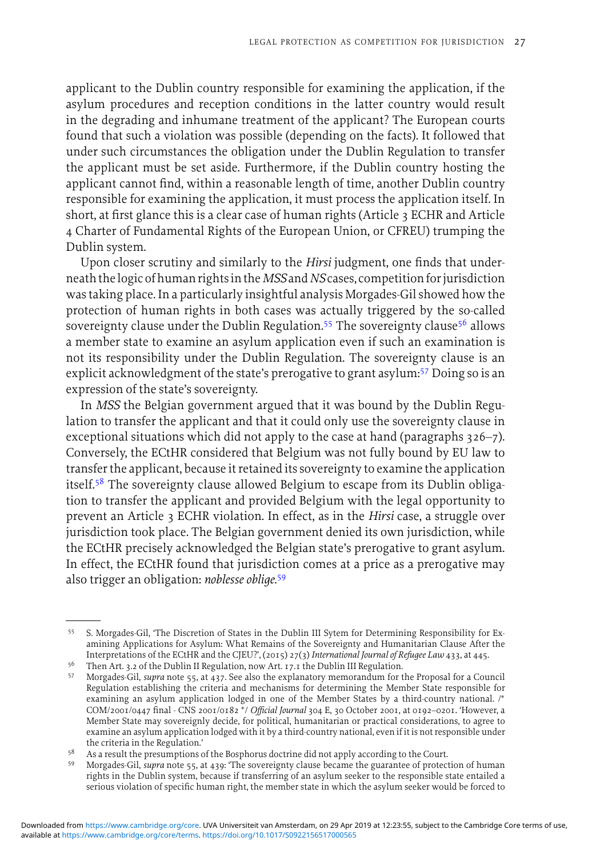applicant to the Dublin country responsible for examining the application, if the asylum procedures and reception conditions in the latter country would result in the degrading and inhumane treatment of the applicant? The European courts found that such a violation was possible (depending on the facts). It followed that under such circumstances the obligation under the Dublin Regulation to transfer the applicant must be set aside. Furthermore, if the Dublin country hosting the applicant cannot find, within a reasonable length of time, another Dublin country responsible for examining the application, it must process the application itself. In short, at first glance this is a clear case of human rights (Article 3 ECHR and Article 4 Charter of Fundamental Rights of the European Union, or CFREU) trumping the Dublin system.

Upon closer scrutiny and similarly to the *Hirsi* judgment, one finds that underneath thelogic of human rightsin the*MSS*and*NS*cases, competition forjurisdiction was taking place. In a particularly insightful analysis Morgades-Gil showed how the protection of human rights in both cases was actually triggered by the so-called sovereignty clause under the Dublin Regulation.<sup>55</sup> The sovereignty clause<sup>56</sup> allows a member state to examine an asylum application even if such an examination is not its responsibility under the Dublin Regulation. The sovereignty clause is an explicit acknowledgment of the state's prerogative to grant asylum:<sup>57</sup> Doing so is an expression of the state's sovereignty.

In *MSS* the Belgian government argued that it was bound by the Dublin Regulation to transfer the applicant and that it could only use the sovereignty clause in exceptional situations which did not apply to the case at hand (paragraphs 326–7). Conversely, the ECtHR considered that Belgium was not fully bound by EU law to transfer the applicant, because it retained its sovereignty to examine the application itself.<sup>58</sup> The sovereignty clause allowed Belgium to escape from its Dublin obligation to transfer the applicant and provided Belgium with the legal opportunity to prevent an Article 3 ECHR violation. In effect, as in the *Hirsi* case, a struggle over jurisdiction took place. The Belgian government denied its own jurisdiction, while the ECtHR precisely acknowledged the Belgian state's prerogative to grant asylum. In effect, the ECtHR found that jurisdiction comes at a price as a prerogative may also trigger an obligation: *noblesse oblige*. 59

<sup>55</sup> S. Morgades-Gil, 'The Discretion of States in the Dublin III Sytem for Determining Responsibility for Examining Applications for Asylum: What Remains of the Sovereignty and Humanitarian Clause After the Interpretations of the ECtHR and the CJEU?', (2015) 27(3) *International Journal of Refugee Law* 433, at 445.

<sup>&</sup>lt;sup>56</sup> Then Art. 3.2 of the Dublin II Regulation, now Art. 17.1 the Dublin III Regulation.

<sup>57</sup> Morgades-Gil, *supra* note 55, at 437. See also the explanatory memorandum for the Proposal for a Council Regulation establishing the criteria and mechanisms for determining the Member State responsible for examining an asylum application lodged in one of the Member States by a third-country national. /∗ COM/2001/0447 final - CNS 2001/0182 <sup>∗</sup>/ *Official Journal* 304 E, 30 October 2001, at 0192–0201*.* 'However, a Member State may sovereignly decide, for political, humanitarian or practical considerations, to agree to examine an asylum application lodged with it by a third-country national, even if it is not responsible under the criteria in the Regulation.'

As a result the presumptions of the Bosphorus doctrine did not apply according to the Court.

Morgades-Gil, *supra* note 55, at 439: 'The sovereignty clause became the guarantee of protection of human rights in the Dublin system, because if transferring of an asylum seeker to the responsible state entailed a serious violation of specific human right, the member state in which the asylum seeker would be forced to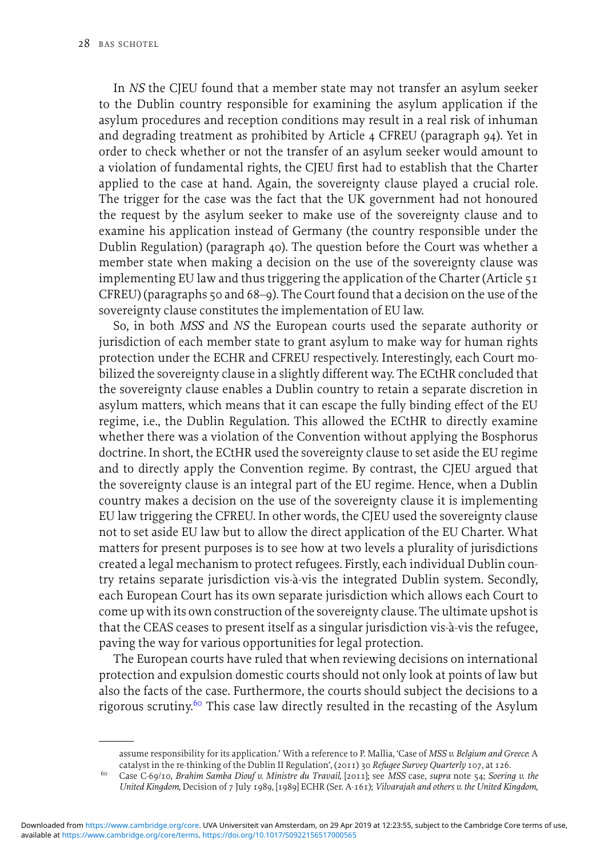In *NS* the CJEU found that a member state may not transfer an asylum seeker to the Dublin country responsible for examining the asylum application if the asylum procedures and reception conditions may result in a real risk of inhuman and degrading treatment as prohibited by Article 4 CFREU (paragraph 94). Yet in order to check whether or not the transfer of an asylum seeker would amount to a violation of fundamental rights, the CJEU first had to establish that the Charter applied to the case at hand. Again, the sovereignty clause played a crucial role. The trigger for the case was the fact that the UK government had not honoured the request by the asylum seeker to make use of the sovereignty clause and to examine his application instead of Germany (the country responsible under the Dublin Regulation) (paragraph 40). The question before the Court was whether a member state when making a decision on the use of the sovereignty clause was implementing EU law and thus triggering the application of the Charter (Article  $51$ CFREU) (paragraphs 50 and 68–9). The Court found that a decision on the use of the sovereignty clause constitutes the implementation of EU law.

So, in both *MSS* and *NS* the European courts used the separate authority or jurisdiction of each member state to grant asylum to make way for human rights protection under the ECHR and CFREU respectively. Interestingly, each Court mobilized the sovereignty clause in a slightly different way. The ECtHR concluded that the sovereignty clause enables a Dublin country to retain a separate discretion in asylum matters, which means that it can escape the fully binding effect of the EU regime, i.e., the Dublin Regulation. This allowed the ECtHR to directly examine whether there was a violation of the Convention without applying the Bosphorus doctrine. In short, the ECtHR used the sovereignty clause to set aside the EU regime and to directly apply the Convention regime. By contrast, the CJEU argued that the sovereignty clause is an integral part of the EU regime. Hence, when a Dublin country makes a decision on the use of the sovereignty clause it is implementing EU law triggering the CFREU. In other words, the CJEU used the sovereignty clause not to set aside EU law but to allow the direct application of the EU Charter. What matters for present purposes is to see how at two levels a plurality of jurisdictions created a legal mechanism to protect refugees. Firstly, each individual Dublin country retains separate jurisdiction vis-a-vis the integrated Dublin system. Secondly, ` each European Court has its own separate jurisdiction which allows each Court to come up with its own construction of the sovereignty clause. The ultimate upshot is that the CEAS ceases to present itself as a singular jurisdiction vis-a-vis the refugee, ` paving the way for various opportunities for legal protection.

The European courts have ruled that when reviewing decisions on international protection and expulsion domestic courts should not only look at points of law but also the facts of the case. Furthermore, the courts should subject the decisions to a rigorous scrutiny.<sup>60</sup> This case law directly resulted in the recasting of the Asylum

assume responsibility for its application.' With a reference to P. Mallia, 'Case of *MSS v. Belgium and Greece*: A catalyst in the re-thinking of the Dublin II Regulation', (2011) 30 *Refugee Survey Quarterly* 107, at 126.

<sup>60</sup> Case C-69/10, *Brahim Samba Diouf v. Ministre du Travail*, [2011]; see *MSS* case, *supra* note 54; *Soering v. the United Kingdom*, Decision of 7 July 1989, [1989] ECHR (Ser. A-161); *Vilvarajah and others v. the United Kingdom*,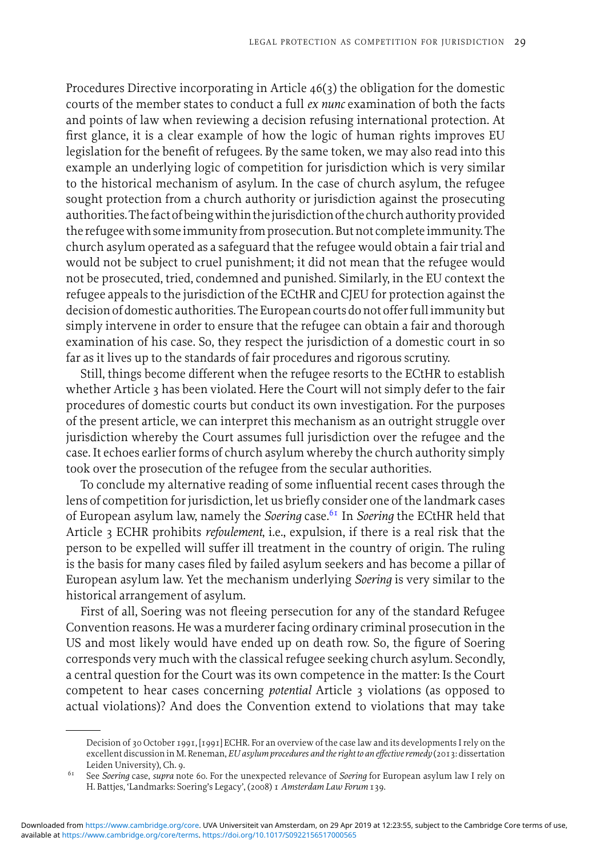Procedures Directive incorporating in Article 46(3) the obligation for the domestic courts of the member states to conduct a full *ex nunc* examination of both the facts and points of law when reviewing a decision refusing international protection. At first glance, it is a clear example of how the logic of human rights improves EU legislation for the benefit of refugees. By the same token, we may also read into this example an underlying logic of competition for jurisdiction which is very similar to the historical mechanism of asylum. In the case of church asylum, the refugee sought protection from a church authority or jurisdiction against the prosecuting authorities. The fact of being within the jurisdiction of the church authority provided the refugee with some immunity from prosecution. But not complete immunity. The church asylum operated as a safeguard that the refugee would obtain a fair trial and would not be subject to cruel punishment; it did not mean that the refugee would not be prosecuted, tried, condemned and punished. Similarly, in the EU context the refugee appeals to the jurisdiction of the ECtHR and CJEU for protection against the decision of domestic authorities. The European courts do not offer fullimmunity but simply intervene in order to ensure that the refugee can obtain a fair and thorough examination of his case. So, they respect the jurisdiction of a domestic court in so far as it lives up to the standards of fair procedures and rigorous scrutiny.

Still, things become different when the refugee resorts to the ECtHR to establish whether Article 3 has been violated. Here the Court will not simply defer to the fair procedures of domestic courts but conduct its own investigation. For the purposes of the present article, we can interpret this mechanism as an outright struggle over jurisdiction whereby the Court assumes full jurisdiction over the refugee and the case. It echoes earlier forms of church asylum whereby the church authority simply took over the prosecution of the refugee from the secular authorities.

To conclude my alternative reading of some influential recent cases through the lens of competition for jurisdiction, let us briefly consider one of the landmark cases of European asylum law, namely the *Soering* case.<sup>61</sup> In *Soering* the ECtHR held that Article 3 ECHR prohibits *refoulement*, i.e., expulsion, if there is a real risk that the person to be expelled will suffer ill treatment in the country of origin. The ruling is the basis for many cases filed by failed asylum seekers and has become a pillar of European asylum law. Yet the mechanism underlying *Soering* is very similar to the historical arrangement of asylum.

First of all, Soering was not fleeing persecution for any of the standard Refugee Convention reasons. He was a murderer facing ordinary criminal prosecution in the US and most likely would have ended up on death row. So, the figure of Soering corresponds very much with the classical refugee seeking church asylum. Secondly, a central question for the Court was its own competence in the matter: Is the Court competent to hear cases concerning *potential* Article 3 violations (as opposed to actual violations)? And does the Convention extend to violations that may take

Decision of 30 October 1991, [1991] ECHR. For an overview of the case law and its developments I rely on the excellent discussion in M. Reneman, *EU asylum procedures and the right to an effective remedy* (2013: dissertation Leiden University), Ch. 9.

<sup>61</sup> See *Soering* case, *supra* note 60. For the unexpected relevance of *Soering* for European asylum law I rely on H. Battjes, 'Landmarks: Soering's Legacy', (2008) 1 *Amsterdam Law Forum* 139.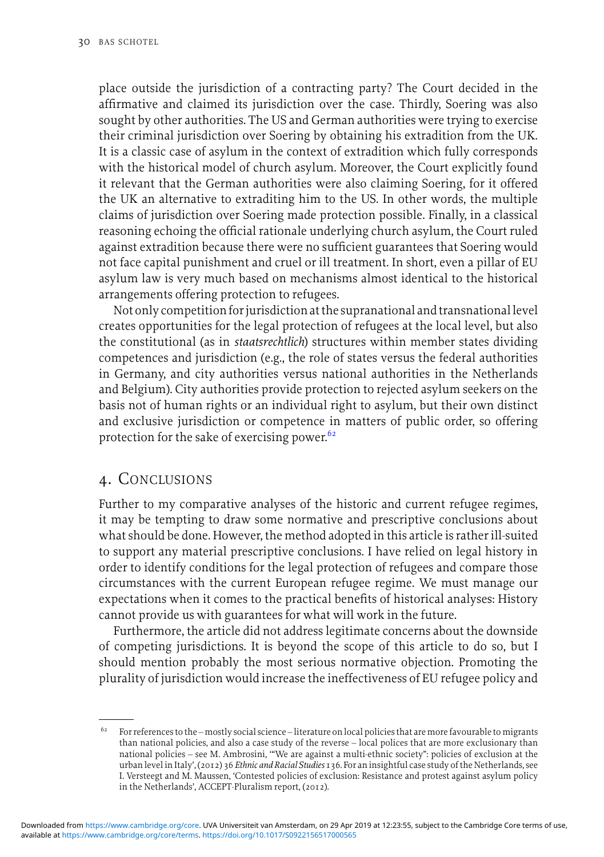place outside the jurisdiction of a contracting party? The Court decided in the affirmative and claimed its jurisdiction over the case. Thirdly, Soering was also sought by other authorities. The US and German authorities were trying to exercise their criminal jurisdiction over Soering by obtaining his extradition from the UK. It is a classic case of asylum in the context of extradition which fully corresponds with the historical model of church asylum. Moreover, the Court explicitly found it relevant that the German authorities were also claiming Soering, for it offered the UK an alternative to extraditing him to the US. In other words, the multiple claims of jurisdiction over Soering made protection possible. Finally, in a classical reasoning echoing the official rationale underlying church asylum, the Court ruled against extradition because there were no sufficient guarantees that Soering would not face capital punishment and cruel or ill treatment. In short, even a pillar of EU asylum law is very much based on mechanisms almost identical to the historical arrangements offering protection to refugees.

Not only competition for jurisdiction at the supranational and transnationallevel creates opportunities for the legal protection of refugees at the local level, but also the constitutional (as in *staatsrechtlich*) structures within member states dividing competences and jurisdiction (e.g., the role of states versus the federal authorities in Germany, and city authorities versus national authorities in the Netherlands and Belgium). City authorities provide protection to rejected asylum seekers on the basis not of human rights or an individual right to asylum, but their own distinct and exclusive jurisdiction or competence in matters of public order, so offering protection for the sake of exercising power.<sup>62</sup>

## 4. CONCLUSIONS

Further to my comparative analyses of the historic and current refugee regimes, it may be tempting to draw some normative and prescriptive conclusions about what should be done. However, the method adopted in this article is rather ill-suited to support any material prescriptive conclusions. I have relied on legal history in order to identify conditions for the legal protection of refugees and compare those circumstances with the current European refugee regime. We must manage our expectations when it comes to the practical benefits of historical analyses: History cannot provide us with guarantees for what will work in the future.

Furthermore, the article did not address legitimate concerns about the downside of competing jurisdictions. It is beyond the scope of this article to do so, but I should mention probably the most serious normative objection. Promoting the plurality of jurisdiction would increase the ineffectiveness of EU refugee policy and

 $^{62}$  For references to the – mostly social science – literature on local policies that are more favourable to migrants than national policies, and also a case study of the reverse – local polices that are more exclusionary than national policies – see M. Ambrosini, '"We are against a multi-ethnic society": policies of exclusion at the urban level in Italy', (2012) 36 *Ethnic and Racial Studies* 136. For an insightful case study of the Netherlands, see I. Versteegt and M. Maussen, 'Contested policies of exclusion: Resistance and protest against asylum policy in the Netherlands', ACCEPT-Pluralism report, (2012).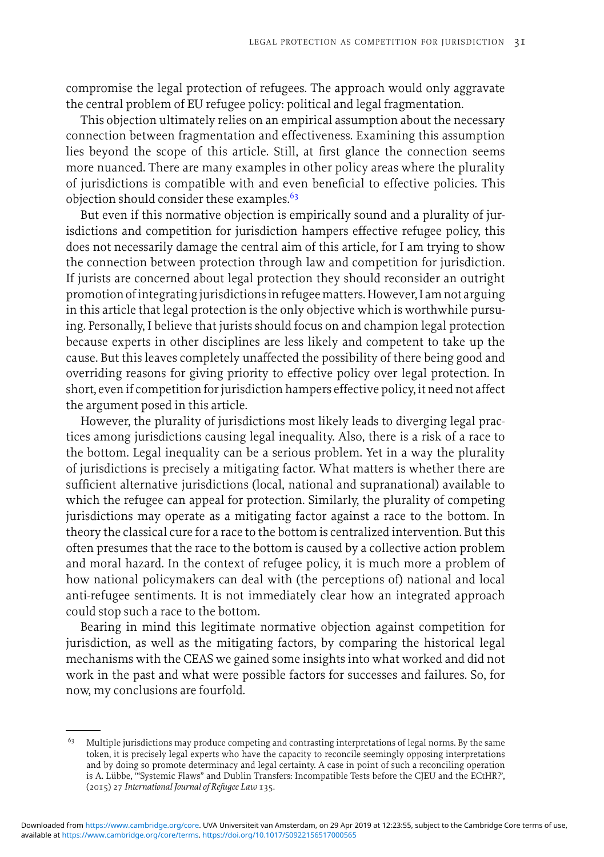compromise the legal protection of refugees. The approach would only aggravate the central problem of EU refugee policy: political and legal fragmentation.

This objection ultimately relies on an empirical assumption about the necessary connection between fragmentation and effectiveness. Examining this assumption lies beyond the scope of this article. Still, at first glance the connection seems more nuanced. There are many examples in other policy areas where the plurality of jurisdictions is compatible with and even beneficial to effective policies. This objection should consider these examples.<sup>63</sup>

But even if this normative objection is empirically sound and a plurality of jurisdictions and competition for jurisdiction hampers effective refugee policy, this does not necessarily damage the central aim of this article, for I am trying to show the connection between protection through law and competition for jurisdiction. If jurists are concerned about legal protection they should reconsider an outright promotion ofintegrating jurisdictionsin refugeematters. However, I am not arguing in this article that legal protection is the only objective which is worthwhile pursuing. Personally, I believe that jurists should focus on and champion legal protection because experts in other disciplines are less likely and competent to take up the cause. But this leaves completely unaffected the possibility of there being good and overriding reasons for giving priority to effective policy over legal protection. In short, even if competition for jurisdiction hampers effective policy, it need not affect the argument posed in this article.

However, the plurality of jurisdictions most likely leads to diverging legal practices among jurisdictions causing legal inequality. Also, there is a risk of a race to the bottom. Legal inequality can be a serious problem. Yet in a way the plurality of jurisdictions is precisely a mitigating factor. What matters is whether there are sufficient alternative jurisdictions (local, national and supranational) available to which the refugee can appeal for protection. Similarly, the plurality of competing jurisdictions may operate as a mitigating factor against a race to the bottom. In theory the classical cure for a race to the bottom is centralized intervention. But this often presumes that the race to the bottom is caused by a collective action problem and moral hazard. In the context of refugee policy, it is much more a problem of how national policymakers can deal with (the perceptions of) national and local anti-refugee sentiments. It is not immediately clear how an integrated approach could stop such a race to the bottom.

Bearing in mind this legitimate normative objection against competition for jurisdiction, as well as the mitigating factors, by comparing the historical legal mechanisms with the CEAS we gained some insights into what worked and did not work in the past and what were possible factors for successes and failures. So, for now, my conclusions are fourfold.

 $^{63} \quad$  Multiple jurisdictions may produce competing and contrasting interpretations of legal norms. By the same token, it is precisely legal experts who have the capacity to reconcile seemingly opposing interpretations and by doing so promote determinacy and legal certainty. A case in point of such a reconciling operation is A. Lübbe, "Systemic Flaws" and Dublin Transfers: Incompatible Tests before the CJEU and the ECtHR?', (2015) 27 *International Journal of Refugee Law* 135.